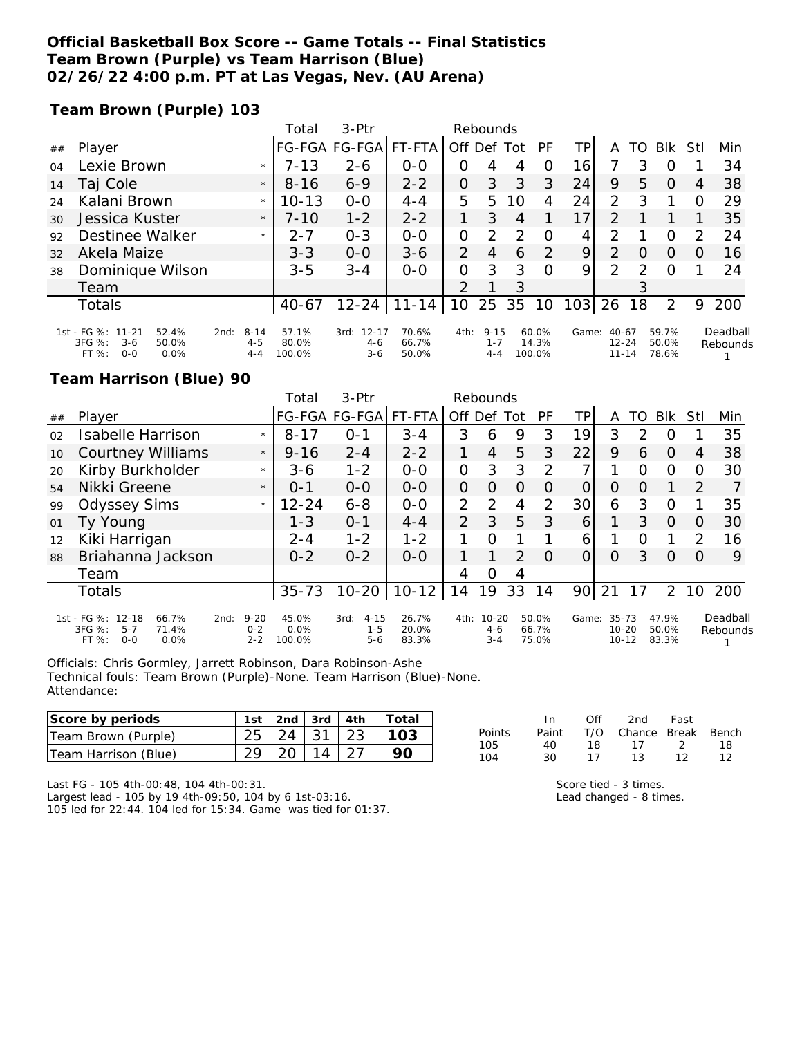### **Official Basketball Box Score -- Game Totals -- Final Statistics Team Brown (Purple) vs Team Harrison (Blue) 02/26/22 4:00 p.m. PT at Las Vegas, Nev. (AU Arena)**

**Team Brown (Purple) 103**

|    |                                                        |      |                    | Total           | 3-Ptr             |                |                | Rebounds           |    |                 |                 |                        |          |                |      |          |
|----|--------------------------------------------------------|------|--------------------|-----------------|-------------------|----------------|----------------|--------------------|----|-----------------|-----------------|------------------------|----------|----------------|------|----------|
| ## | Player                                                 |      |                    |                 | FG-FGA FG-FGA     | FT-FTA         | Off Def Tot    |                    |    | PF              | TP              | A                      | TO.      | <b>BIK</b>     | Stll | Min      |
| 04 | Lexie Brown                                            |      | $\star$            | $7 - 13$        | $2 - 6$           | $0 - 0$        | 0              | 4                  | 4  | O               | 16              |                        | 3        | O              |      | 34       |
| 14 | Taj Cole                                               |      | $\star$            | $8 - 16$        | $6 - 9$           | $2 - 2$        | 0              | 3                  | 3  | 3               | 24              | 9                      | 5        | $\Omega$       | 4    | 38       |
| 24 | Kalani Brown                                           |      | $\star$            | $10 - 13$       | $O-O$             | $4 - 4$        | 5              | 5                  | 10 | 4               | 24              | 2                      | 3        |                | 0    | 29       |
| 30 | Jessica Kuster                                         |      | $\star$            | $7 - 10$        | $1 - 2$           | $2 - 2$        |                | 3                  | 4  |                 | 17 <sub>1</sub> | $\mathcal{P}$          |          |                |      | 35       |
| 92 | Destinee Walker                                        |      | $\star$            | $2 - 7$         | $0 - 3$           | $O-O$          | 0              | 2                  | 2  | Ο               | 4               | $\mathcal{P}$          |          | O              | 2    | 24       |
| 32 | Akela Maize                                            |      |                    | $3 - 3$         | $O-O$             | $3 - 6$        | $\overline{2}$ | 4                  | 6  | 2               | 9               | 2                      | $\Omega$ | $\Omega$       | O    | 16       |
| 38 | Dominique Wilson                                       |      |                    | $3 - 5$         | $3 - 4$           | $O-O$          | 0              | 3                  | 3  | $\Omega$        | 9               | $\mathcal{P}$          | っ        | $\Omega$       |      | 24       |
|    | Team                                                   |      |                    |                 |                   |                | $\mathcal{P}$  |                    | 3  |                 |                 |                        |          |                |      |          |
|    | <b>Totals</b>                                          |      |                    | 40-67           | $12 - 24$         | $11 - 14$      | 10             | 25                 | 35 | 10              | 103             | 26                     | 18       | 2              | 9    | 200      |
|    | 1st - FG %: 11-21<br>52.4%                             | 2nd: | $8 - 14$           | 57.1%           | $12 - 17$<br>3rd: | 70.6%          | 4th:           | $9 - 15$           |    | 60.0%           | Game:           | $40 - 67$              |          | 59.7%          |      | Deadball |
|    | 3FG %:<br>$3-6$<br>50.0%<br>$FT%$ :<br>$0 - 0$<br>0.0% |      | $4 - 5$<br>$4 - 4$ | 80.0%<br>100.0% | $4-6$<br>$3 - 6$  | 66.7%<br>50.0% |                | $1 - 7$<br>$4 - 4$ |    | 14.3%<br>100.0% |                 | $12 - 24$<br>$11 - 14$ |          | 50.0%<br>78.6% |      | Rebounds |

#### **Team Harrison (Blue) 90**

|    |                                                                                              |                                | Total                   | 3-Ptr                                  |                         |         | Rebounds                        |          |                         |       |                                     |               |                         |                 |                      |
|----|----------------------------------------------------------------------------------------------|--------------------------------|-------------------------|----------------------------------------|-------------------------|---------|---------------------------------|----------|-------------------------|-------|-------------------------------------|---------------|-------------------------|-----------------|----------------------|
| ## | Player                                                                                       |                                |                         | FG-FGA FG-FGA  FT-FTA                  |                         | Off Def |                                 | Totl     | PF                      | TР    | A                                   | TO            | <b>Blk</b>              | Stl             | Min                  |
| 02 | <b>Isabelle Harrison</b>                                                                     | $\star$                        | $8 - 17$                | $O - 1$                                | $3 - 4$                 | 3       | 6                               | 9        | 3                       | 19    | 3                                   | $\mathcal{P}$ | $\Omega$                |                 | 35                   |
| 10 | <b>Courtney Williams</b>                                                                     | $\star$                        | $9 - 16$                | $2 - 4$                                | $2 - 2$                 | 1       | 4                               | 5        | 3                       | 22    | 9                                   | 6             | $\Omega$                | 4               | 38                   |
| 20 | Kirby Burkholder                                                                             | $\star$                        | $3-6$                   | $1 - 2$                                | $O - O$                 | 0       | 3                               | 3        | 2                       | ᄀ     | 1                                   | $\Omega$      | $\Omega$                | Ω               | 30                   |
| 54 | Nikki Greene                                                                                 | $\star$                        | $0 - 1$                 | $0 - 0$                                | $0 - 0$                 | 0       | $\Omega$                        | $\Omega$ | Ο                       | 0     | 0                                   | O             | 1                       | 2               |                      |
| 99 | <b>Odyssey Sims</b>                                                                          | $\star$                        | $12 - 24$               | $6 - 8$                                | $O - O$                 | 2       | 2                               | 4        | 2                       | 30    | 6                                   | 3             | $\Omega$                |                 | 35                   |
| 01 | Ty Young                                                                                     |                                | $1 - 3$                 | $0 - 1$                                | $4 - 4$                 | 2       | 3                               | 5        | 3                       | 6     |                                     | 3             | $\Omega$                | 0               | 30                   |
| 12 | Kiki Harrigan                                                                                |                                | $2 - 4$                 | $1 - 2$                                | $1 - 2$                 | 1       | Ω                               | 1        |                         | 6     |                                     | Ω             | 1                       | $\mathcal{P}$   | 16                   |
| 88 | Briahanna Jackson                                                                            |                                | $0 - 2$                 | $0 - 2$                                | $0 - 0$                 |         |                                 | 2        | O                       | Ο     | $\circ$                             | 3             | $\Omega$                | 0               | 9                    |
|    | Team                                                                                         |                                |                         |                                        |                         | 4       | Ω                               | 4        |                         |       |                                     |               |                         |                 |                      |
|    | <b>Totals</b>                                                                                |                                | $35 - 73$               | $10-20$                                | $10-12$                 | 14      | 19                              | 33       | 14                      | 90    | 21                                  | 17            | $\overline{2}$          | 10 <sup>1</sup> | 200                  |
|    | 1st - FG %: 12-18<br>66.7%<br>2nd:<br>3FG %:<br>71.4%<br>$5 - 7$<br>FT %:<br>$0 - 0$<br>0.0% | $9 - 20$<br>$0 - 2$<br>$2 - 2$ | 45.0%<br>0.0%<br>100.0% | $4 - 15$<br>3rd:<br>$1 - 5$<br>$5 - 6$ | 26.7%<br>20.0%<br>83.3% | 4th:    | $10 - 20$<br>$4 - 6$<br>$3 - 4$ |          | 50.0%<br>66.7%<br>75.0% | Game: | $35 - 73$<br>$10 - 20$<br>$10 - 12$ |               | 47.9%<br>50.0%<br>83.3% |                 | Deadball<br>Rebounds |

Officials: Chris Gormley, Jarrett Robinson, Dara Robinson-Ashe Technical fouls: Team Brown (Purple)-None. Team Harrison (Blue)-None. Attendance:

| Score by periods        | 1st      | 2nd.       | 3rd           | 4th                             | Total |            |          |     | 2nd    | Fast  |       |
|-------------------------|----------|------------|---------------|---------------------------------|-------|------------|----------|-----|--------|-------|-------|
| Team Brown (Purple)     | つに<br>∠◡ | $2\Lambda$ | $\sim$ $\sim$ | ົດລ<br>∠J                       |       | Points     | Paint    | T/O | Chance | Break | Bench |
| Team Harrison<br>'Blue) | ററ       | ∩∩         | Δ             | $\sim$ $\overline{\phantom{0}}$ | 9С    | 105<br>104 | 40<br>30 |     |        |       |       |

Last FG - 105 4th-00:48, 104 4th-00:31.

Largest lead - 105 by 19 4th-09:50, 104 by 6 1st-03:16. 105 led for 22:44. 104 led for 15:34. Game was tied for 01:37. Score tied - 3 times. Lead changed - 8 times.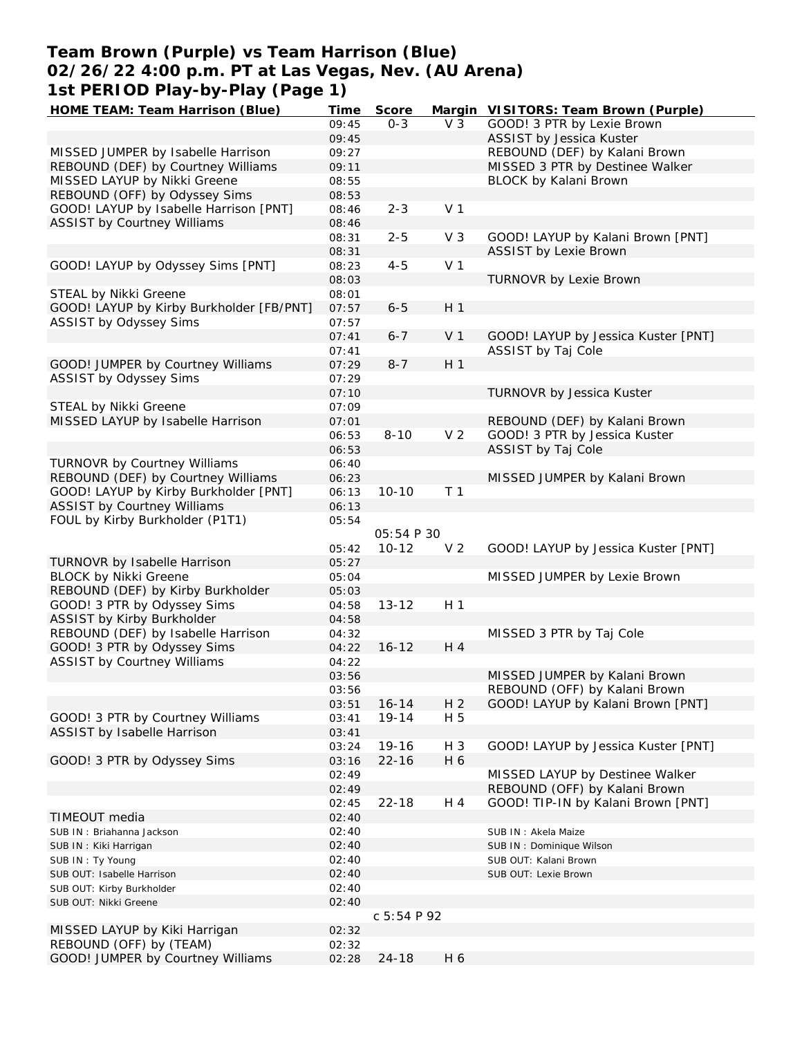## **Team Brown (Purple) vs Team Harrison (Blue) 02/26/22 4:00 p.m. PT at Las Vegas, Nev. (AU Arena) 1st PERIOD Play-by-Play (Page 1)**

| HOME TEAM: Team Harrison (Blue)          | Time  | Score       |                | Margin VISITORS: Team Brown (Purple) |
|------------------------------------------|-------|-------------|----------------|--------------------------------------|
|                                          | 09:45 | $O - 3$     | V <sub>3</sub> | GOOD! 3 PTR by Lexie Brown           |
|                                          | 09:45 |             |                | ASSIST by Jessica Kuster             |
| MISSED JUMPER by Isabelle Harrison       | 09:27 |             |                | REBOUND (DEF) by Kalani Brown        |
| REBOUND (DEF) by Courtney Williams       | 09:11 |             |                | MISSED 3 PTR by Destinee Walker      |
| MISSED LAYUP by Nikki Greene             | 08:55 |             |                | BLOCK by Kalani Brown                |
| REBOUND (OFF) by Odyssey Sims            | 08:53 |             |                |                                      |
| GOOD! LAYUP by Isabelle Harrison [PNT]   | 08:46 | $2 - 3$     | V <sub>1</sub> |                                      |
| <b>ASSIST by Courtney Williams</b>       | 08:46 |             |                |                                      |
|                                          | 08:31 | $2 - 5$     | V <sub>3</sub> | GOOD! LAYUP by Kalani Brown [PNT]    |
|                                          | 08:31 |             |                | <b>ASSIST by Lexie Brown</b>         |
| GOOD! LAYUP by Odyssey Sims [PNT]        | 08:23 | $4 - 5$     | V <sub>1</sub> |                                      |
|                                          | 08:03 |             |                | TURNOVR by Lexie Brown               |
| STEAL by Nikki Greene                    | 08:01 |             |                |                                      |
| GOOD! LAYUP by Kirby Burkholder [FB/PNT] | 07:57 | $6 - 5$     | H <sub>1</sub> |                                      |
| ASSIST by Odyssey Sims                   | 07:57 |             |                |                                      |
|                                          |       | $6 - 7$     | V <sub>1</sub> |                                      |
|                                          | 07:41 |             |                | GOOD! LAYUP by Jessica Kuster [PNT]  |
|                                          | 07:41 |             |                | ASSIST by Taj Cole                   |
| GOOD! JUMPER by Courtney Williams        | 07:29 | $8 - 7$     | H <sub>1</sub> |                                      |
| ASSIST by Odyssey Sims                   | 07:29 |             |                |                                      |
|                                          | 07:10 |             |                | TURNOVR by Jessica Kuster            |
| STEAL by Nikki Greene                    | 07:09 |             |                |                                      |
| MISSED LAYUP by Isabelle Harrison        | 07:01 |             |                | REBOUND (DEF) by Kalani Brown        |
|                                          | 06:53 | $8 - 10$    | V <sub>2</sub> | GOOD! 3 PTR by Jessica Kuster        |
|                                          | 06:53 |             |                | ASSIST by Taj Cole                   |
| <b>TURNOVR by Courtney Williams</b>      | 06:40 |             |                |                                      |
| REBOUND (DEF) by Courtney Williams       | 06:23 |             |                | MISSED JUMPER by Kalani Brown        |
| GOOD! LAYUP by Kirby Burkholder [PNT]    | 06:13 | $10 - 10$   | T <sub>1</sub> |                                      |
| <b>ASSIST by Courtney Williams</b>       | 06:13 |             |                |                                      |
| FOUL by Kirby Burkholder (P1T1)          | 05:54 |             |                |                                      |
|                                          |       | 05:54 P 30  |                |                                      |
|                                          | 05:42 | $10 - 12$   | V <sub>2</sub> | GOOD! LAYUP by Jessica Kuster [PNT]  |
| TURNOVR by Isabelle Harrison             | 05:27 |             |                |                                      |
| <b>BLOCK by Nikki Greene</b>             | 05:04 |             |                | MISSED JUMPER by Lexie Brown         |
| REBOUND (DEF) by Kirby Burkholder        | 05:03 |             |                |                                      |
| GOOD! 3 PTR by Odyssey Sims              | 04:58 | $13 - 12$   | H <sub>1</sub> |                                      |
| ASSIST by Kirby Burkholder               | 04:58 |             |                |                                      |
| REBOUND (DEF) by Isabelle Harrison       | 04:32 |             |                | MISSED 3 PTR by Taj Cole             |
| GOOD! 3 PTR by Odyssey Sims              | 04:22 | $16 - 12$   | H 4            |                                      |
| <b>ASSIST by Courtney Williams</b>       | 04:22 |             |                |                                      |
|                                          |       |             |                |                                      |
|                                          | 03:56 |             |                | MISSED JUMPER by Kalani Brown        |
|                                          | 03:56 |             |                | REBOUND (OFF) by Kalani Brown        |
|                                          | 03:51 | $16 - 14$   | H <sub>2</sub> | GOOD! LAYUP by Kalani Brown [PNT]    |
| GOOD! 3 PTR by Courtney Williams         | 03:41 | $19 - 14$   | H 5            |                                      |
| ASSIST by Isabelle Harrison              | 03:41 |             |                |                                      |
|                                          | 03:24 | 19-16       | H 3            | GOOD! LAYUP by Jessica Kuster [PNT]  |
| GOOD! 3 PTR by Odyssey Sims              | 03:16 | $22 - 16$   | H 6            |                                      |
|                                          | 02:49 |             |                | MISSED LAYUP by Destinee Walker      |
|                                          | 02:49 |             |                | REBOUND (OFF) by Kalani Brown        |
|                                          | 02:45 | $22 - 18$   | H 4            | GOOD! TIP-IN by Kalani Brown [PNT]   |
| TIMEOUT media                            | 02:40 |             |                |                                      |
| SUB IN: Briahanna Jackson                | 02:40 |             |                | SUB IN: Akela Maize                  |
| SUB IN: Kiki Harrigan                    | 02:40 |             |                | SUB IN: Dominique Wilson             |
| SUB IN: Ty Young                         | 02:40 |             |                | SUB OUT: Kalani Brown                |
| SUB OUT: Isabelle Harrison               | 02:40 |             |                | SUB OUT: Lexie Brown                 |
| SUB OUT: Kirby Burkholder                | 02:40 |             |                |                                      |
| SUB OUT: Nikki Greene                    | 02:40 |             |                |                                      |
|                                          |       | C 5:54 P 92 |                |                                      |
| MISSED LAYUP by Kiki Harrigan            | 02:32 |             |                |                                      |
| REBOUND (OFF) by (TEAM)                  | 02:32 |             |                |                                      |
| GOOD! JUMPER by Courtney Williams        | 02:28 | $24 - 18$   | H 6            |                                      |
|                                          |       |             |                |                                      |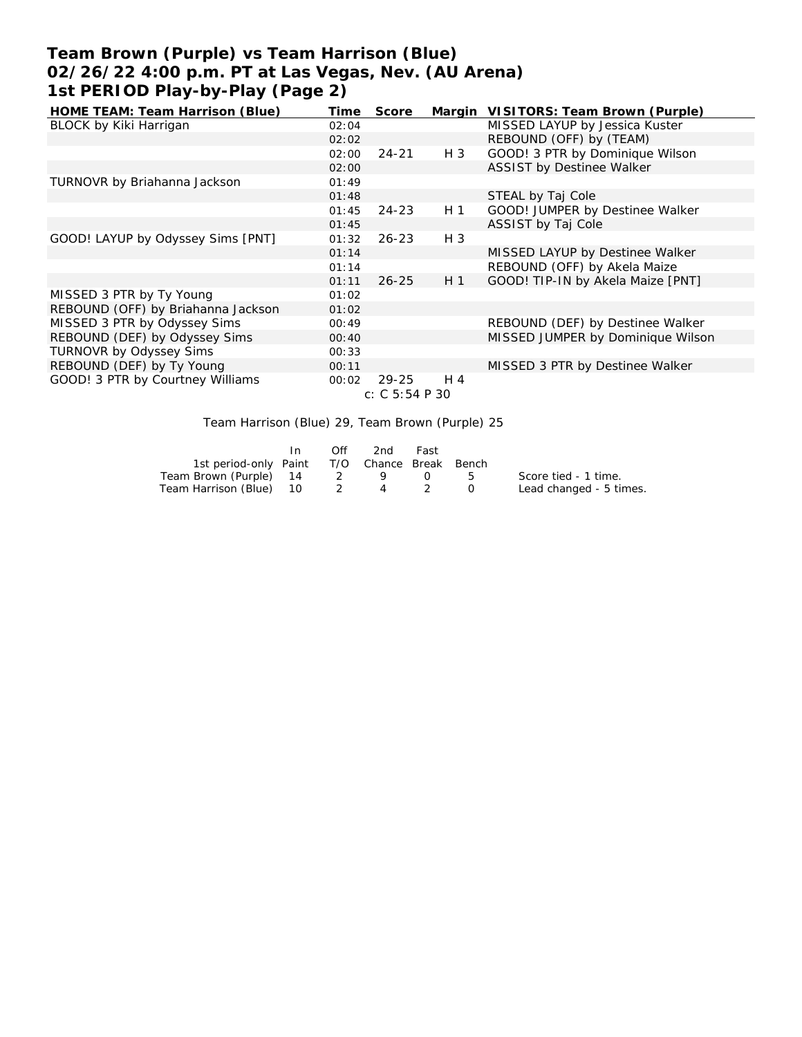# **Team Brown (Purple) vs Team Harrison (Blue) 02/26/22 4:00 p.m. PT at Las Vegas, Nev. (AU Arena) 1st PERIOD Play-by-Play (Page 2)**

| HOME TEAM: Team Harrison (Blue)    | Time  | Score           |                | Margin VISITORS: Team Brown (Purple) |
|------------------------------------|-------|-----------------|----------------|--------------------------------------|
| BLOCK by Kiki Harrigan             | 02:04 |                 |                | MISSED LAYUP by Jessica Kuster       |
|                                    | 02:02 |                 |                | REBOUND (OFF) by (TEAM)              |
|                                    | 02:00 | $24 - 21$       | H 3            | GOOD! 3 PTR by Dominique Wilson      |
|                                    | 02:00 |                 |                | <b>ASSIST by Destinee Walker</b>     |
| TURNOVR by Briahanna Jackson       | 01:49 |                 |                |                                      |
|                                    | 01:48 |                 |                | STEAL by Taj Cole                    |
|                                    | 01:45 | $24 - 23$       | H <sub>1</sub> | GOOD! JUMPER by Destinee Walker      |
|                                    | 01:45 |                 |                | ASSIST by Taj Cole                   |
| GOOD! LAYUP by Odyssey Sims [PNT]  | 01:32 | $26 - 23$       | $H_3$          |                                      |
|                                    | 01:14 |                 |                | MISSED LAYUP by Destinee Walker      |
|                                    | 01:14 |                 |                | REBOUND (OFF) by Akela Maize         |
|                                    | 01:11 | $26 - 25$       | H <sub>1</sub> | GOOD! TIP-IN by Akela Maize [PNT]    |
| MISSED 3 PTR by Ty Young           | 01:02 |                 |                |                                      |
| REBOUND (OFF) by Briahanna Jackson | 01:02 |                 |                |                                      |
| MISSED 3 PTR by Odyssey Sims       | 00:49 |                 |                | REBOUND (DEF) by Destinee Walker     |
| REBOUND (DEF) by Odyssey Sims      | 00:40 |                 |                | MISSED JUMPER by Dominique Wilson    |
| TURNOVR by Odyssey Sims            | 00:33 |                 |                |                                      |
| REBOUND (DEF) by Ty Young          | 00:11 |                 |                | MISSED 3 PTR by Destinee Walker      |
| GOOD! 3 PTR by Courtney Williams   | 00:02 | 29-25           | H 4            |                                      |
|                                    |       | C: C 5: 54 P 30 |                |                                      |
|                                    |       |                 |                |                                      |

Team Harrison (Blue) 29, Team Brown (Purple) 25

|                                              | $\ln$ | Off | 2nd | – Fast |                         |
|----------------------------------------------|-------|-----|-----|--------|-------------------------|
| 1st period-only Paint T/O Chance Break Bench |       |     |     |        |                         |
| Team Brown (Purple) 14 2 9 0 5               |       |     |     |        | Score tied - 1 time.    |
| Team Harrison (Blue) 10 2 4 2 0              |       |     |     |        | Lead changed - 5 times. |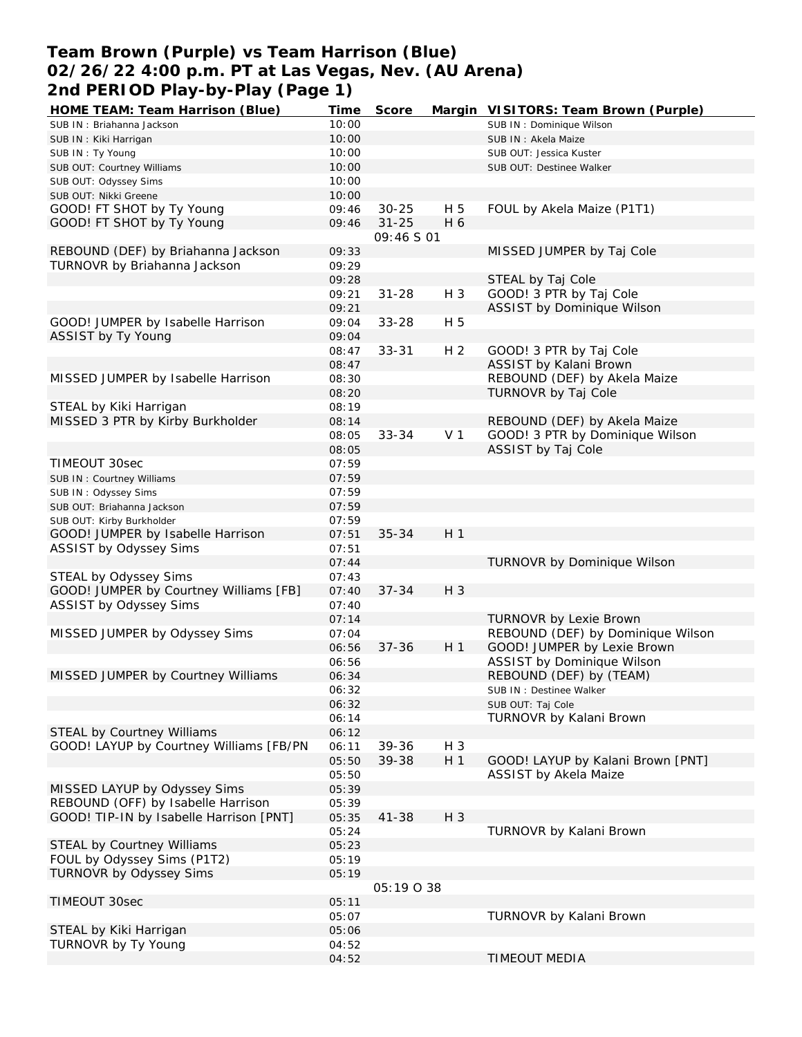### **Team Brown (Purple) vs Team Harrison (Blue) 02/26/22 4:00 p.m. PT at Las Vegas, Nev. (AU Arena) 2nd PERIOD Play-by-Play (Page 1)**

| HOME TEAM: Team Harrison (Blue)         | Time  | Score      |                | Margin VISITORS: Team Brown (Purple) |
|-----------------------------------------|-------|------------|----------------|--------------------------------------|
| SUB IN: Briahanna Jackson               | 10:00 |            |                | SUB IN: Dominique Wilson             |
| SUB IN: Kiki Harrigan                   | 10:00 |            |                | SUB IN: Akela Maize                  |
| SUB IN: Ty Young                        | 10:00 |            |                | SUB OUT: Jessica Kuster              |
| SUB OUT: Courtney Williams              | 10:00 |            |                | SUB OUT: Destinee Walker             |
| SUB OUT: Odyssey Sims                   | 10:00 |            |                |                                      |
| SUB OUT: Nikki Greene                   | 10:00 |            |                |                                      |
| GOOD! FT SHOT by Ty Young               | 09:46 | $30 - 25$  | H 5            | FOUL by Akela Maize (P1T1)           |
| GOOD! FT SHOT by Ty Young               | 09:46 | $31 - 25$  | H 6            |                                      |
|                                         |       | 09:46 S 01 |                |                                      |
| REBOUND (DEF) by Briahanna Jackson      | 09:33 |            |                | MISSED JUMPER by Taj Cole            |
| TURNOVR by Briahanna Jackson            | 09:29 |            |                |                                      |
|                                         |       |            |                |                                      |
|                                         | 09:28 |            |                | STEAL by Taj Cole                    |
|                                         | 09:21 | $31 - 28$  | H 3            | GOOD! 3 PTR by Taj Cole              |
|                                         | 09:21 |            |                | ASSIST by Dominique Wilson           |
| GOOD! JUMPER by Isabelle Harrison       | 09:04 | $33 - 28$  | H 5            |                                      |
| ASSIST by Ty Young                      | 09:04 |            |                |                                      |
|                                         | 08:47 | $33 - 31$  | H <sub>2</sub> | GOOD! 3 PTR by Taj Cole              |
|                                         | 08:47 |            |                | ASSIST by Kalani Brown               |
| MISSED JUMPER by Isabelle Harrison      | 08:30 |            |                | REBOUND (DEF) by Akela Maize         |
|                                         | 08:20 |            |                | TURNOVR by Taj Cole                  |
| STEAL by Kiki Harrigan                  | 08:19 |            |                |                                      |
| MISSED 3 PTR by Kirby Burkholder        | 08:14 |            |                | REBOUND (DEF) by Akela Maize         |
|                                         | 08:05 | $33 - 34$  | V <sub>1</sub> | GOOD! 3 PTR by Dominique Wilson      |
|                                         | 08:05 |            |                | ASSIST by Taj Cole                   |
| TIMEOUT 30sec                           | 07:59 |            |                |                                      |
| SUB IN: Courtney Williams               | 07:59 |            |                |                                      |
| SUB IN: Odyssey Sims                    | 07:59 |            |                |                                      |
| SUB OUT: Briahanna Jackson              | 07:59 |            |                |                                      |
| SUB OUT: Kirby Burkholder               | 07:59 |            |                |                                      |
| GOOD! JUMPER by Isabelle Harrison       | 07:51 | $35 - 34$  | H <sub>1</sub> |                                      |
| ASSIST by Odyssey Sims                  | 07:51 |            |                |                                      |
|                                         | 07:44 |            |                | TURNOVR by Dominique Wilson          |
| STEAL by Odyssey Sims                   | 07:43 |            |                |                                      |
| GOOD! JUMPER by Courtney Williams [FB]  |       | $37 - 34$  | H 3            |                                      |
|                                         | 07:40 |            |                |                                      |
| ASSIST by Odyssey Sims                  | 07:40 |            |                |                                      |
|                                         | 07:14 |            |                | TURNOVR by Lexie Brown               |
| MISSED JUMPER by Odyssey Sims           | 07:04 |            |                | REBOUND (DEF) by Dominique Wilson    |
|                                         | 06:56 | $37 - 36$  | H <sub>1</sub> | GOOD! JUMPER by Lexie Brown          |
|                                         | 06:56 |            |                | ASSIST by Dominique Wilson           |
| MISSED JUMPER by Courtney Williams      | 06:34 |            |                | REBOUND (DEF) by (TEAM)              |
|                                         | 06:32 |            |                | SUB IN: Destinee Walker              |
|                                         | 06:32 |            |                | SUB OUT: Taj Cole                    |
|                                         | 06:14 |            |                | TURNOVR by Kalani Brown              |
| STEAL by Courtney Williams              | 06:12 |            |                |                                      |
| GOOD! LAYUP by Courtney Williams [FB/PN | 06:11 | 39-36      | H 3            |                                      |
|                                         | 05:50 | 39-38      | H <sub>1</sub> | GOOD! LAYUP by Kalani Brown [PNT]    |
|                                         | 05:50 |            |                | ASSIST by Akela Maize                |
| MISSED LAYUP by Odyssey Sims            | 05:39 |            |                |                                      |
| REBOUND (OFF) by Isabelle Harrison      | 05:39 |            |                |                                      |
| GOOD! TIP-IN by Isabelle Harrison [PNT] | 05:35 | $41 - 38$  | H 3            |                                      |
|                                         | 05:24 |            |                | TURNOVR by Kalani Brown              |
| STEAL by Courtney Williams              | 05:23 |            |                |                                      |
| FOUL by Odyssey Sims (P1T2)             | 05:19 |            |                |                                      |
| TURNOVR by Odyssey Sims                 | 05:19 |            |                |                                      |
|                                         |       | 05:19038   |                |                                      |
|                                         |       |            |                |                                      |
| TIMEOUT 30sec                           | 05:11 |            |                |                                      |
|                                         | 05:07 |            |                | TURNOVR by Kalani Brown              |
| STEAL by Kiki Harrigan                  | 05:06 |            |                |                                      |
| TURNOVR by Ty Young                     | 04:52 |            |                |                                      |
|                                         | 04:52 |            |                | TIMEOUT MEDIA                        |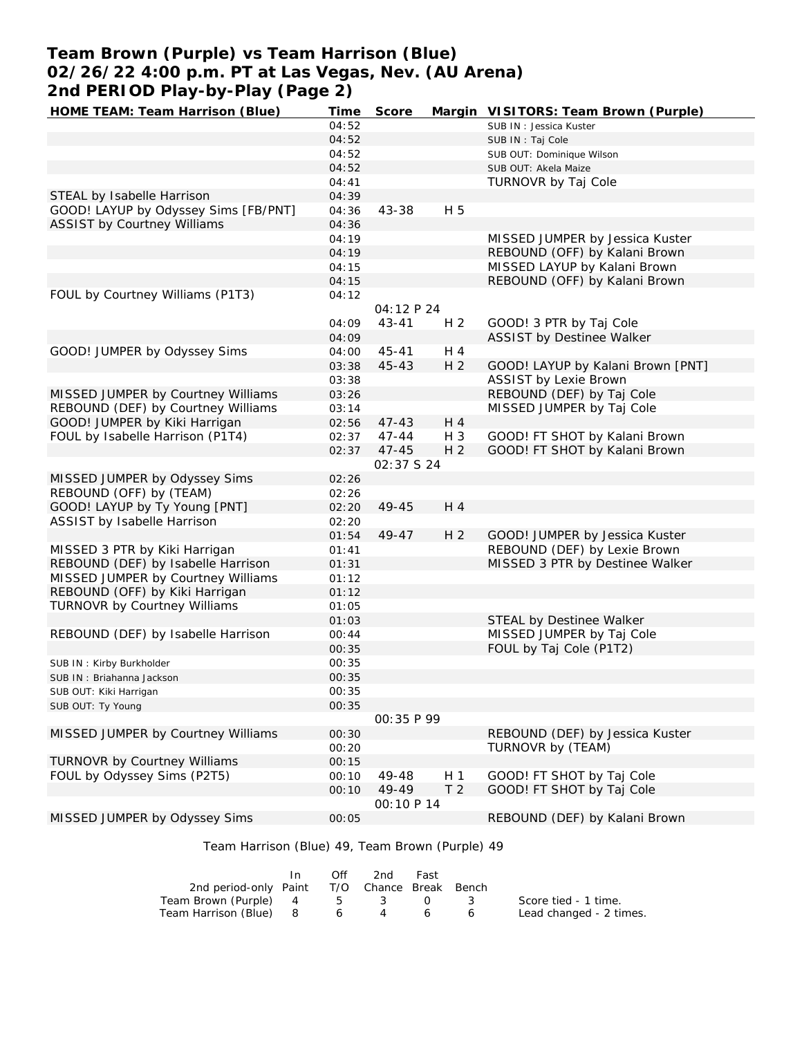# **Team Brown (Purple) vs Team Harrison (Blue) 02/26/22 4:00 p.m. PT at Las Vegas, Nev. (AU Arena) 2nd PERIOD Play-by-Play (Page 2)**

| HOME TEAM: Team Harrison (Blue)      | Time  | Score              |                | Margin VISITORS: Team Brown (Purple) |
|--------------------------------------|-------|--------------------|----------------|--------------------------------------|
|                                      | 04:52 |                    |                | SUB IN: Jessica Kuster               |
|                                      | 04:52 |                    |                | SUB IN: Taj Cole                     |
|                                      | 04:52 |                    |                | SUB OUT: Dominique Wilson            |
|                                      | 04:52 |                    |                | SUB OUT: Akela Maize                 |
|                                      | 04:41 |                    |                | TURNOVR by Taj Cole                  |
| STEAL by Isabelle Harrison           | 04:39 |                    |                |                                      |
| GOOD! LAYUP by Odyssey Sims [FB/PNT] | 04:36 | 43-38              | H 5            |                                      |
| <b>ASSIST by Courtney Williams</b>   | 04:36 |                    |                |                                      |
|                                      | 04:19 |                    |                | MISSED JUMPER by Jessica Kuster      |
|                                      | 04:19 |                    |                | REBOUND (OFF) by Kalani Brown        |
|                                      | 04:15 |                    |                | MISSED LAYUP by Kalani Brown         |
|                                      | 04:15 |                    |                | REBOUND (OFF) by Kalani Brown        |
| FOUL by Courtney Williams (P1T3)     | 04:12 |                    |                |                                      |
|                                      |       | 04:12 P 24         |                |                                      |
|                                      | 04:09 | $43 - 41$          | H <sub>2</sub> | GOOD! 3 PTR by Taj Cole              |
|                                      | 04:09 |                    |                | ASSIST by Destinee Walker            |
| GOOD! JUMPER by Odyssey Sims         | 04:00 | $45 - 41$          | H 4            |                                      |
|                                      | 03:38 | 45-43              | H <sub>2</sub> | GOOD! LAYUP by Kalani Brown [PNT]    |
|                                      | 03:38 |                    |                | <b>ASSIST by Lexie Brown</b>         |
| MISSED JUMPER by Courtney Williams   | 03:26 |                    |                | REBOUND (DEF) by Taj Cole            |
| REBOUND (DEF) by Courtney Williams   | 03:14 |                    |                | MISSED JUMPER by Taj Cole            |
| GOOD! JUMPER by Kiki Harrigan        | 02:56 | $47 - 43$          | H 4            |                                      |
| FOUL by Isabelle Harrison (P1T4)     | 02:37 | $47 - 44$          | $H_3$          | GOOD! FT SHOT by Kalani Brown        |
|                                      | 02:37 | $47 - 45$          | H <sub>2</sub> | GOOD! FT SHOT by Kalani Brown        |
|                                      |       | 02:37 S 24         |                |                                      |
| MISSED JUMPER by Odyssey Sims        | 02:26 |                    |                |                                      |
| REBOUND (OFF) by (TEAM)              | 02:26 |                    |                |                                      |
| GOOD! LAYUP by Ty Young [PNT]        | 02:20 | 49-45              | H 4            |                                      |
| ASSIST by Isabelle Harrison          | 02:20 |                    |                |                                      |
|                                      | 01:54 | 49-47              | H <sub>2</sub> | GOOD! JUMPER by Jessica Kuster       |
| MISSED 3 PTR by Kiki Harrigan        | 01:41 |                    |                | REBOUND (DEF) by Lexie Brown         |
| REBOUND (DEF) by Isabelle Harrison   | 01:31 |                    |                | MISSED 3 PTR by Destinee Walker      |
| MISSED JUMPER by Courtney Williams   | 01:12 |                    |                |                                      |
| REBOUND (OFF) by Kiki Harrigan       | 01:12 |                    |                |                                      |
| TURNOVR by Courtney Williams         | 01:05 |                    |                |                                      |
|                                      | 01:03 |                    |                | STEAL by Destinee Walker             |
| REBOUND (DEF) by Isabelle Harrison   | 00:44 |                    |                | MISSED JUMPER by Taj Cole            |
|                                      | 00:35 |                    |                | FOUL by Taj Cole (P1T2)              |
| SUB IN: Kirby Burkholder             | 00:35 |                    |                |                                      |
| SUB IN: Briahanna Jackson            | 00:35 |                    |                |                                      |
| SUB OUT: Kiki Harrigan               | 00:35 |                    |                |                                      |
| SUB OUT: Ty Young                    | 00:35 |                    |                |                                      |
|                                      |       | 00:35 P 99         |                |                                      |
| MISSED JUMPER by Courtney Williams   | 00:30 |                    |                | REBOUND (DEF) by Jessica Kuster      |
|                                      | 00:20 |                    |                | TURNOVR by (TEAM)                    |
| TURNOVR by Courtney Williams         | 00:15 |                    |                |                                      |
| FOUL by Odyssey Sims (P2T5)          | 00:10 | 49-48              | H 1            | GOOD! FT SHOT by Taj Cole            |
|                                      | 00:10 | 49-49              | T <sub>2</sub> | GOOD! FT SHOT by Taj Cole            |
|                                      |       | <i>OO:</i> 10 P 14 |                |                                      |
| MISSED JUMPER by Odyssey Sims        | 00:05 |                    |                | REBOUND (DEF) by Kalani Brown        |

### Team Harrison (Blue) 49, Team Brown (Purple) 49

|                                              | Off | 2nd | Fast |                         |
|----------------------------------------------|-----|-----|------|-------------------------|
| 2nd period-only Paint T/O Chance Break Bench |     |     |      |                         |
| Team Brown (Purple) 4 5 3 0 3                |     |     |      | Score tied - 1 time.    |
| Team Harrison (Blue) 8 6 4                   |     |     | 66   | Lead changed - 2 times. |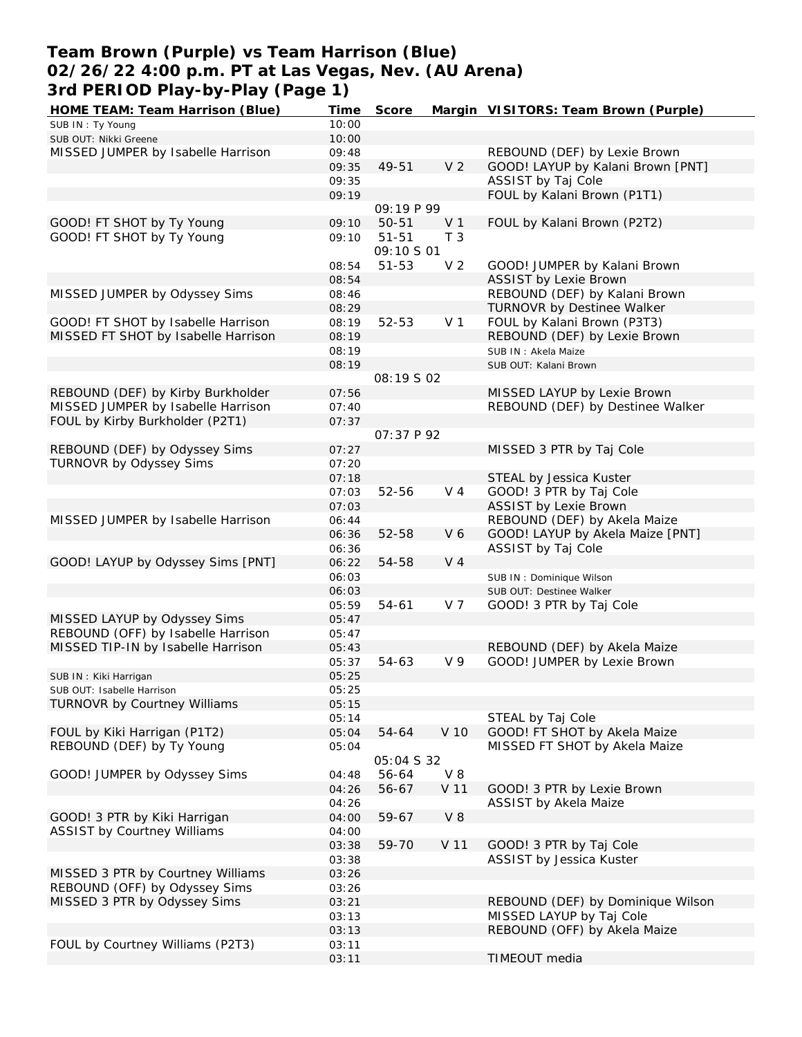### **Team Brown (Purple) vs Team Harrison (Blue) 02/26/22 4:00 p.m. PT at Las Vegas, Nev. (AU Arena) 3rd PERIOD Play-by-Play (Page 1)**

| HOME TEAM: Team Harrison (Blue)                            | Time           | Score             |                 | Margin VISITORS: Team Brown (Purple) |
|------------------------------------------------------------|----------------|-------------------|-----------------|--------------------------------------|
| SUB IN: Ty Young                                           | 10:00          |                   |                 |                                      |
| SUB OUT: Nikki Greene                                      | 10:00          |                   |                 |                                      |
| MISSED JUMPER by Isabelle Harrison                         | 09:48          |                   |                 | REBOUND (DEF) by Lexie Brown         |
|                                                            | 09:35          | 49-51             | V <sub>2</sub>  | GOOD! LAYUP by Kalani Brown [PNT]    |
|                                                            | 09:35          |                   |                 | ASSIST by Taj Cole                   |
|                                                            | 09:19          |                   |                 | FOUL by Kalani Brown (P1T1)          |
|                                                            |                | 09:19 P 99        |                 |                                      |
| GOOD! FT SHOT by Ty Young                                  | 09:10          | $50 - 51$         | V <sub>1</sub>  | FOUL by Kalani Brown (P2T2)          |
| GOOD! FT SHOT by Ty Young                                  | 09:10          | $51 - 51$         | T <sub>3</sub>  |                                      |
|                                                            |                | 09:10 S 01        |                 |                                      |
|                                                            | 08:54          | $51 - 53$         | V <sub>2</sub>  | GOOD! JUMPER by Kalani Brown         |
|                                                            | 08:54          |                   |                 | <b>ASSIST by Lexie Brown</b>         |
| MISSED JUMPER by Odyssey Sims                              | 08:46          |                   |                 | REBOUND (DEF) by Kalani Brown        |
|                                                            | 08:29          |                   |                 | TURNOVR by Destinee Walker           |
| GOOD! FT SHOT by Isabelle Harrison                         | 08:19          | 52-53             | V <sub>1</sub>  | FOUL by Kalani Brown (P3T3)          |
| MISSED FT SHOT by Isabelle Harrison                        | 08:19          |                   |                 | REBOUND (DEF) by Lexie Brown         |
|                                                            | 08:19          |                   |                 | SUB IN: Akela Maize                  |
|                                                            | 08:19          |                   |                 | SUB OUT: Kalani Brown                |
|                                                            |                | 08:19502          |                 |                                      |
| REBOUND (DEF) by Kirby Burkholder                          | 07:56          |                   |                 | MISSED LAYUP by Lexie Brown          |
| MISSED JUMPER by Isabelle Harrison                         | 07:40          |                   |                 | REBOUND (DEF) by Destinee Walker     |
| FOUL by Kirby Burkholder (P2T1)                            | 07:37          |                   |                 |                                      |
|                                                            |                | 07:37 P 92        |                 |                                      |
| REBOUND (DEF) by Odyssey Sims                              | 07:27          |                   |                 | MISSED 3 PTR by Taj Cole             |
| <b>TURNOVR by Odyssey Sims</b>                             | 07:20          |                   |                 |                                      |
|                                                            | 07:18          |                   |                 | STEAL by Jessica Kuster              |
|                                                            | 07:03          | 52-56             | V <sub>4</sub>  | GOOD! 3 PTR by Taj Cole              |
|                                                            | 07:03          |                   |                 | <b>ASSIST by Lexie Brown</b>         |
| MISSED JUMPER by Isabelle Harrison                         | 06:44          |                   |                 | REBOUND (DEF) by Akela Maize         |
|                                                            | 06:36          | 52-58             | V6              | GOOD! LAYUP by Akela Maize [PNT]     |
|                                                            | 06:36          |                   |                 | ASSIST by Taj Cole                   |
| GOOD! LAYUP by Odyssey Sims [PNT]                          | 06:22          | 54-58             | V <sub>4</sub>  |                                      |
|                                                            | 06:03          |                   |                 | SUB IN: Dominique Wilson             |
|                                                            | 06:03          |                   |                 | SUB OUT: Destinee Walker             |
|                                                            | 05:59          | 54-61             | V 7             | GOOD! 3 PTR by Taj Cole              |
| MISSED LAYUP by Odyssey Sims                               | 05:47          |                   |                 |                                      |
| REBOUND (OFF) by Isabelle Harrison                         | 05:47          |                   |                 |                                      |
| MISSED TIP-IN by Isabelle Harrison                         | 05:43          |                   |                 | REBOUND (DEF) by Akela Maize         |
|                                                            | 05:37          | 54-63             | V <sub>9</sub>  | GOOD! JUMPER by Lexie Brown          |
|                                                            | 05:25          |                   |                 |                                      |
| SUB IN: Kiki Harrigan                                      |                |                   |                 |                                      |
| SUB OUT: Isabelle Harrison<br>TURNOVR by Courtney Williams | 05:25          |                   |                 |                                      |
|                                                            | 05:15<br>05:14 |                   |                 | STEAL by Taj Cole                    |
|                                                            |                |                   | V 10            | GOOD! FT SHOT by Akela Maize         |
| FOUL by Kiki Harrigan (P1T2)                               | 05:04          | 54-64             |                 |                                      |
| REBOUND (DEF) by Ty Young                                  | 05:04          | <i>05:04 S 32</i> |                 | MISSED FT SHOT by Akela Maize        |
|                                                            |                |                   |                 |                                      |
| GOOD! JUMPER by Odyssey Sims                               | 04:48          | 56-64             | $V_8$           |                                      |
|                                                            | 04:26          | 56-67             | V <sub>11</sub> | GOOD! 3 PTR by Lexie Brown           |
|                                                            | 04:26          |                   |                 | ASSIST by Akela Maize                |
| GOOD! 3 PTR by Kiki Harrigan                               | 04:00          | 59-67             | V8              |                                      |
| ASSIST by Courtney Williams                                | 04:00          |                   |                 |                                      |
|                                                            | 03:38          | 59-70             | V 11            | GOOD! 3 PTR by Taj Cole              |
|                                                            | 03:38          |                   |                 | ASSIST by Jessica Kuster             |
| MISSED 3 PTR by Courtney Williams                          | 03:26          |                   |                 |                                      |
| REBOUND (OFF) by Odyssey Sims                              | 03:26          |                   |                 |                                      |
| MISSED 3 PTR by Odyssey Sims                               | 03:21          |                   |                 | REBOUND (DEF) by Dominique Wilson    |
|                                                            | 03:13          |                   |                 | MISSED LAYUP by Taj Cole             |
|                                                            | 03:13          |                   |                 | REBOUND (OFF) by Akela Maize         |
| FOUL by Courtney Williams (P2T3)                           | 03:11          |                   |                 |                                      |
|                                                            | 03:11          |                   |                 | TIMEOUT media                        |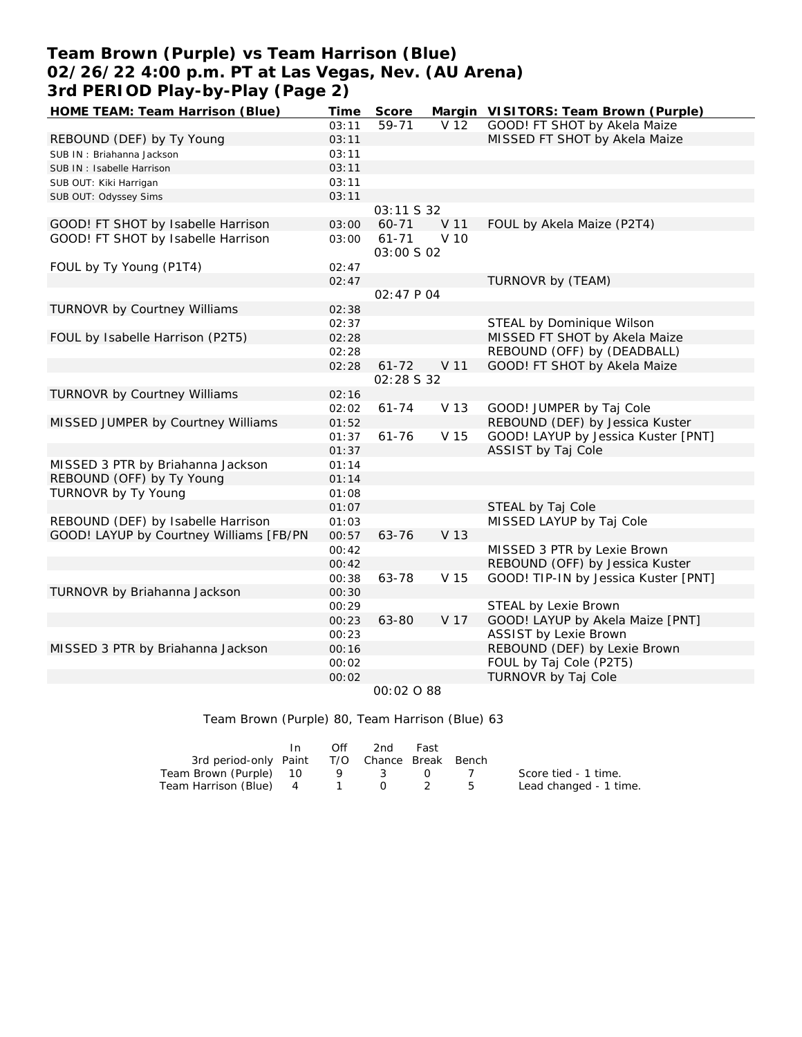# **Team Brown (Purple) vs Team Harrison (Blue) 02/26/22 4:00 p.m. PT at Las Vegas, Nev. (AU Arena) 3rd PERIOD Play-by-Play (Page 2)**

| HOME TEAM: Team Harrison (Blue)         | Time  | Score                   |      | Margin VISITORS: Team Brown (Purple) |
|-----------------------------------------|-------|-------------------------|------|--------------------------------------|
|                                         | 03:11 | 59-71                   | V 12 | GOOD! FT SHOT by Akela Maize         |
| REBOUND (DEF) by Ty Young               | 03:11 |                         |      | MISSED FT SHOT by Akela Maize        |
| SUB IN: Briahanna Jackson               | 03:11 |                         |      |                                      |
| SUB IN: Isabelle Harrison               | 03:11 |                         |      |                                      |
| SUB OUT: Kiki Harrigan                  | 03:11 |                         |      |                                      |
| SUB OUT: Odyssey Sims                   | 03:11 |                         |      |                                      |
|                                         |       | 03:11 S 32              |      |                                      |
| GOOD! FT SHOT by Isabelle Harrison      | 03:00 | 60-71                   | V 11 | FOUL by Akela Maize (P2T4)           |
| GOOD! FT SHOT by Isabelle Harrison      | 03:00 | $61 - 71$<br>03:00 S 02 | V 10 |                                      |
| FOUL by Ty Young (P1T4)                 | 02:47 |                         |      |                                      |
|                                         | 02:47 |                         |      | TURNOVR by (TEAM)                    |
|                                         |       | 02:47 P 04              |      |                                      |
| <b>TURNOVR by Courtney Williams</b>     | 02:38 |                         |      |                                      |
|                                         | 02:37 |                         |      | STEAL by Dominique Wilson            |
| FOUL by Isabelle Harrison (P2T5)        | 02:28 |                         |      | MISSED FT SHOT by Akela Maize        |
|                                         | 02:28 |                         |      | REBOUND (OFF) by (DEADBALL)          |
|                                         | 02:28 | $61 - 72$               | V 11 | GOOD! FT SHOT by Akela Maize         |
|                                         |       | 02:28 S 32              |      |                                      |
| TURNOVR by Courtney Williams            | 02:16 |                         |      |                                      |
|                                         | 02:02 | $61 - 74$               | V 13 | GOOD! JUMPER by Taj Cole             |
| MISSED JUMPER by Courtney Williams      | 01:52 |                         |      | REBOUND (DEF) by Jessica Kuster      |
|                                         | 01:37 | $61 - 76$               | V 15 | GOOD! LAYUP by Jessica Kuster [PNT]  |
|                                         | 01:37 |                         |      | ASSIST by Taj Cole                   |
| MISSED 3 PTR by Briahanna Jackson       | 01:14 |                         |      |                                      |
| REBOUND (OFF) by Ty Young               | 01:14 |                         |      |                                      |
| TURNOVR by Ty Young                     | 01:08 |                         |      |                                      |
|                                         | 01:07 |                         |      | STEAL by Taj Cole                    |
| REBOUND (DEF) by Isabelle Harrison      | 01:03 |                         |      | MISSED LAYUP by Taj Cole             |
| GOOD! LAYUP by Courtney Williams [FB/PN | 00:57 | 63-76                   | V 13 |                                      |
|                                         | 00:42 |                         |      | MISSED 3 PTR by Lexie Brown          |
|                                         | 00:42 |                         |      | REBOUND (OFF) by Jessica Kuster      |
|                                         | 00:38 | 63-78                   | V 15 | GOOD! TIP-IN by Jessica Kuster [PNT] |
| TURNOVR by Briahanna Jackson            | 00:30 |                         |      |                                      |
|                                         | 00:29 |                         |      | STEAL by Lexie Brown                 |
|                                         | 00:23 | 63-80                   | V 17 | GOOD! LAYUP by Akela Maize [PNT]     |
|                                         | 00:23 |                         |      | <b>ASSIST by Lexie Brown</b>         |
| MISSED 3 PTR by Briahanna Jackson       | 00:16 |                         |      | REBOUND (DEF) by Lexie Brown         |
|                                         | 00:02 |                         |      | FOUL by Taj Cole (P2T5)              |
|                                         | 00:02 |                         |      | TURNOVR by Taj Cole                  |
|                                         |       | 00:02 0 88              |      |                                      |

#### Team Brown (Purple) 80, Team Harrison (Blue) 63

|                                              | In | Off | -2nd | Fast             |   |                        |
|----------------------------------------------|----|-----|------|------------------|---|------------------------|
| 3rd period-only Paint T/O Chance Break Bench |    |     |      |                  |   |                        |
| Team Brown (Purple) 10                       |    |     | 9 3  | $\left( \right)$ |   | Score tied - 1 time.   |
| Team Harrison (Blue) 4 1 0 2                 |    |     |      |                  | 5 | Lead changed - 1 time. |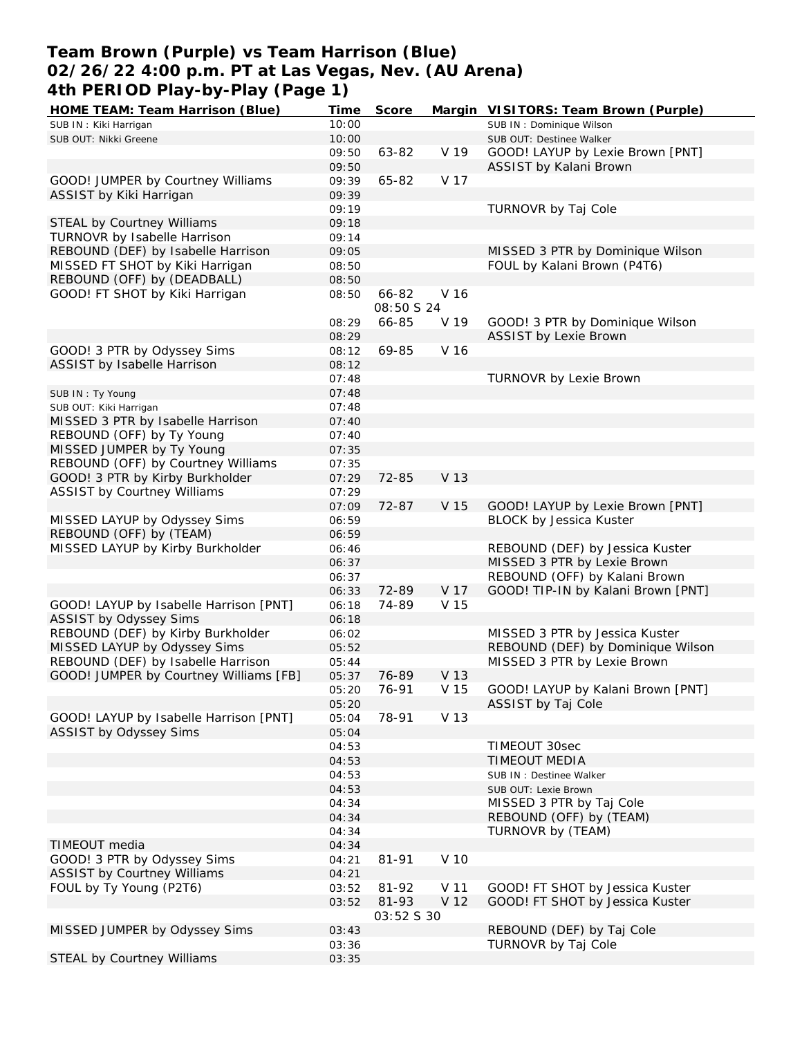## **Team Brown (Purple) vs Team Harrison (Blue) 02/26/22 4:00 p.m. PT at Las Vegas, Nev. (AU Arena) 4th PERIOD Play-by-Play (Page 1)**

| HOME TEAM: Team Harrison (Blue)        | Time  | Score                      |      | Margin VISITORS: Team Brown (Purple) |
|----------------------------------------|-------|----------------------------|------|--------------------------------------|
| SUB IN: Kiki Harrigan                  | 10:00 |                            |      | SUB IN: Dominique Wilson             |
| SUB OUT: Nikki Greene                  | 10:00 |                            |      | SUB OUT: Destinee Walker             |
|                                        | 09:50 | 63-82                      | V 19 | GOOD! LAYUP by Lexie Brown [PNT]     |
|                                        | 09:50 |                            |      | ASSIST by Kalani Brown               |
| GOOD! JUMPER by Courtney Williams      | 09:39 | 65-82                      | V 17 |                                      |
| ASSIST by Kiki Harrigan                | 09:39 |                            |      |                                      |
|                                        | 09:19 |                            |      | TURNOVR by Taj Cole                  |
| STEAL by Courtney Williams             | 09:18 |                            |      |                                      |
| TURNOVR by Isabelle Harrison           | 09:14 |                            |      |                                      |
| REBOUND (DEF) by Isabelle Harrison     | 09:05 |                            |      | MISSED 3 PTR by Dominique Wilson     |
| MISSED FT SHOT by Kiki Harrigan        | 08:50 |                            |      | FOUL by Kalani Brown (P4T6)          |
|                                        |       |                            |      |                                      |
| REBOUND (OFF) by (DEADBALL)            | 08:50 |                            |      |                                      |
| GOOD! FT SHOT by Kiki Harrigan         | 08:50 | 66-82<br><i>08:50 S 24</i> | V 16 |                                      |
|                                        | 08:29 | 66-85                      | V 19 | GOOD! 3 PTR by Dominique Wilson      |
|                                        | 08:29 |                            |      | ASSIST by Lexie Brown                |
| GOOD! 3 PTR by Odyssey Sims            | 08:12 | 69-85                      | V 16 |                                      |
| ASSIST by Isabelle Harrison            | 08:12 |                            |      |                                      |
|                                        | 07:48 |                            |      | TURNOVR by Lexie Brown               |
| SUB IN: Ty Young                       | 07:48 |                            |      |                                      |
| SUB OUT: Kiki Harrigan                 | 07:48 |                            |      |                                      |
| MISSED 3 PTR by Isabelle Harrison      | 07:40 |                            |      |                                      |
| REBOUND (OFF) by Ty Young              | 07:40 |                            |      |                                      |
| MISSED JUMPER by Ty Young              | 07:35 |                            |      |                                      |
| REBOUND (OFF) by Courtney Williams     | 07:35 |                            |      |                                      |
| GOOD! 3 PTR by Kirby Burkholder        | 07:29 | 72-85                      | V 13 |                                      |
| <b>ASSIST by Courtney Williams</b>     | 07:29 |                            |      |                                      |
|                                        | 07:09 | 72-87                      | V 15 | GOOD! LAYUP by Lexie Brown [PNT]     |
| MISSED LAYUP by Odyssey Sims           | 06:59 |                            |      | <b>BLOCK by Jessica Kuster</b>       |
| REBOUND (OFF) by (TEAM)                | 06:59 |                            |      |                                      |
| MISSED LAYUP by Kirby Burkholder       | 06:46 |                            |      | REBOUND (DEF) by Jessica Kuster      |
|                                        | 06:37 |                            |      | MISSED 3 PTR by Lexie Brown          |
|                                        | 06:37 |                            |      | REBOUND (OFF) by Kalani Brown        |
|                                        |       |                            |      |                                      |
|                                        | 06:33 | 72-89                      | V 17 | GOOD! TIP-IN by Kalani Brown [PNT]   |
| GOOD! LAYUP by Isabelle Harrison [PNT] | 06:18 | 74-89                      | V 15 |                                      |
| ASSIST by Odyssey Sims                 | 06:18 |                            |      |                                      |
| REBOUND (DEF) by Kirby Burkholder      | 06:02 |                            |      | MISSED 3 PTR by Jessica Kuster       |
| MISSED LAYUP by Odyssey Sims           | 05:52 |                            |      | REBOUND (DEF) by Dominique Wilson    |
| REBOUND (DEF) by Isabelle Harrison     | 05:44 |                            |      | MISSED 3 PTR by Lexie Brown          |
| GOOD! JUMPER by Courtney Williams [FB] | 05:37 | 76-89                      | V 13 |                                      |
|                                        | 05:20 | 76-91                      | V 15 | GOOD! LAYUP by Kalani Brown [PNT]    |
|                                        | 05:20 |                            |      | ASSIST by Taj Cole                   |
| GOOD! LAYUP by Isabelle Harrison [PNT] | 05:04 | 78-91                      | V 13 |                                      |
| ASSIST by Odyssey Sims                 | 05:04 |                            |      |                                      |
|                                        | 04:53 |                            |      | TIMEOUT 30sec                        |
|                                        | 04:53 |                            |      | <b>TIMEOUT MEDIA</b>                 |
|                                        | 04:53 |                            |      | SUB IN : Destinee Walker             |
|                                        | 04:53 |                            |      | SUB OUT: Lexie Brown                 |
|                                        | 04:34 |                            |      | MISSED 3 PTR by Taj Cole             |
|                                        | 04:34 |                            |      | REBOUND (OFF) by (TEAM)              |
|                                        | 04:34 |                            |      | TURNOVR by (TEAM)                    |
| TIMEOUT media                          | 04:34 |                            |      |                                      |
| GOOD! 3 PTR by Odyssey Sims            | 04:21 | 81-91                      | V 10 |                                      |
| <b>ASSIST by Courtney Williams</b>     | 04:21 |                            |      |                                      |
|                                        |       |                            |      |                                      |
| FOUL by Ty Young (P2T6)                | 03:52 | 81-92                      | V 11 | GOOD! FT SHOT by Jessica Kuster      |
|                                        | 03:52 | 81-93                      | V 12 | GOOD! FT SHOT by Jessica Kuster      |
|                                        |       | 03:52 S 30                 |      |                                      |
| MISSED JUMPER by Odyssey Sims          | 03:43 |                            |      | REBOUND (DEF) by Taj Cole            |
|                                        | 03:36 |                            |      | TURNOVR by Taj Cole                  |
| STEAL by Courtney Williams             | 03:35 |                            |      |                                      |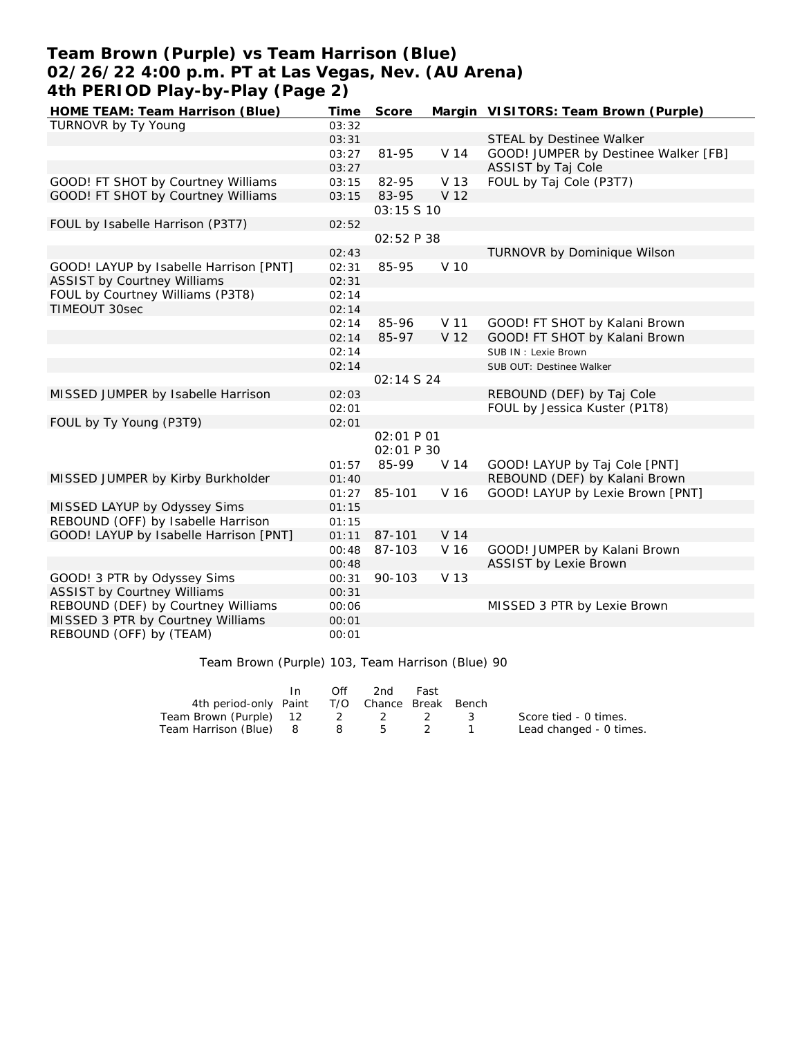# **Team Brown (Purple) vs Team Harrison (Blue) 02/26/22 4:00 p.m. PT at Las Vegas, Nev. (AU Arena) 4th PERIOD Play-by-Play (Page 2)**

| HOME TEAM: Team Harrison (Blue)        | Time  | Score       |                 | Margin VISITORS: Team Brown (Purple) |
|----------------------------------------|-------|-------------|-----------------|--------------------------------------|
| TURNOVR by Ty Young                    | 03:32 |             |                 |                                      |
|                                        | 03:31 |             |                 | STEAL by Destinee Walker             |
|                                        | 03:27 | 81-95       | V 14            | GOOD! JUMPER by Destinee Walker [FB] |
|                                        | 03:27 |             |                 | ASSIST by Taj Cole                   |
| GOOD! FT SHOT by Courtney Williams     | 03:15 | 82-95       | V 13            | FOUL by Taj Cole (P3T7)              |
| GOOD! FT SHOT by Courtney Williams     | 03:15 | 83-95       | V 12            |                                      |
|                                        |       | 03:15 \$ 10 |                 |                                      |
| FOUL by Isabelle Harrison (P3T7)       | 02:52 |             |                 |                                      |
|                                        |       | 02:52 P 38  |                 |                                      |
|                                        | 02:43 |             |                 | TURNOVR by Dominique Wilson          |
| GOOD! LAYUP by Isabelle Harrison [PNT] | 02:31 | 85-95       | V 10            |                                      |
| <b>ASSIST by Courtney Williams</b>     | 02:31 |             |                 |                                      |
| FOUL by Courtney Williams (P3T8)       | 02:14 |             |                 |                                      |
| <b>TIMEOUT 30sec</b>                   | 02:14 |             |                 |                                      |
|                                        | 02:14 | 85-96       | V 11            | GOOD! FT SHOT by Kalani Brown        |
|                                        | 02:14 | 85-97       | V 12            | GOOD! FT SHOT by Kalani Brown        |
|                                        | 02:14 |             |                 | SUB IN: Lexie Brown                  |
|                                        | 02:14 |             |                 | SUB OUT: Destinee Walker             |
|                                        |       | 02:14 S 24  |                 |                                      |
| MISSED JUMPER by Isabelle Harrison     | 02:03 |             |                 | REBOUND (DEF) by Taj Cole            |
|                                        | 02:01 |             |                 | FOUL by Jessica Kuster (P1T8)        |
| FOUL by Ty Young (P3T9)                | 02:01 |             |                 |                                      |
|                                        |       | 02:01 P 01  |                 |                                      |
|                                        |       | 02:01 P 30  |                 |                                      |
|                                        | 01:57 | 85-99       | V 14            | GOOD! LAYUP by Taj Cole [PNT]        |
| MISSED JUMPER by Kirby Burkholder      | 01:40 |             |                 | REBOUND (DEF) by Kalani Brown        |
|                                        | 01:27 | 85-101      | V 16            | GOOD! LAYUP by Lexie Brown [PNT]     |
| MISSED LAYUP by Odyssey Sims           | 01:15 |             |                 |                                      |
| REBOUND (OFF) by Isabelle Harrison     | 01:15 |             |                 |                                      |
| GOOD! LAYUP by Isabelle Harrison [PNT] | 01:11 | 87-101      | V <sub>14</sub> |                                      |
|                                        | 00:48 | 87-103      | V 16            | GOOD! JUMPER by Kalani Brown         |
|                                        | 00:48 |             |                 | <b>ASSIST by Lexie Brown</b>         |
| GOOD! 3 PTR by Odyssey Sims            | 00:31 | 90-103      | V 13            |                                      |
| <b>ASSIST by Courtney Williams</b>     | 00:31 |             |                 |                                      |
| REBOUND (DEF) by Courtney Williams     | 00:06 |             |                 | MISSED 3 PTR by Lexie Brown          |
| MISSED 3 PTR by Courtney Williams      | 00:01 |             |                 |                                      |
| REBOUND (OFF) by (TEAM)                | 00:01 |             |                 |                                      |

Team Brown (Purple) 103, Team Harrison (Blue) 90

|                                              | In. | Off | 2nd | Fast |                         |
|----------------------------------------------|-----|-----|-----|------|-------------------------|
| 4th period-only Paint T/O Chance Break Bench |     |     |     |      |                         |
| Team Brown (Purple) 12 2 2 2 3               |     |     |     |      | Score tied - 0 times.   |
| Team Harrison (Blue) 8 8 5 2 1               |     |     |     |      | Lead changed - 0 times. |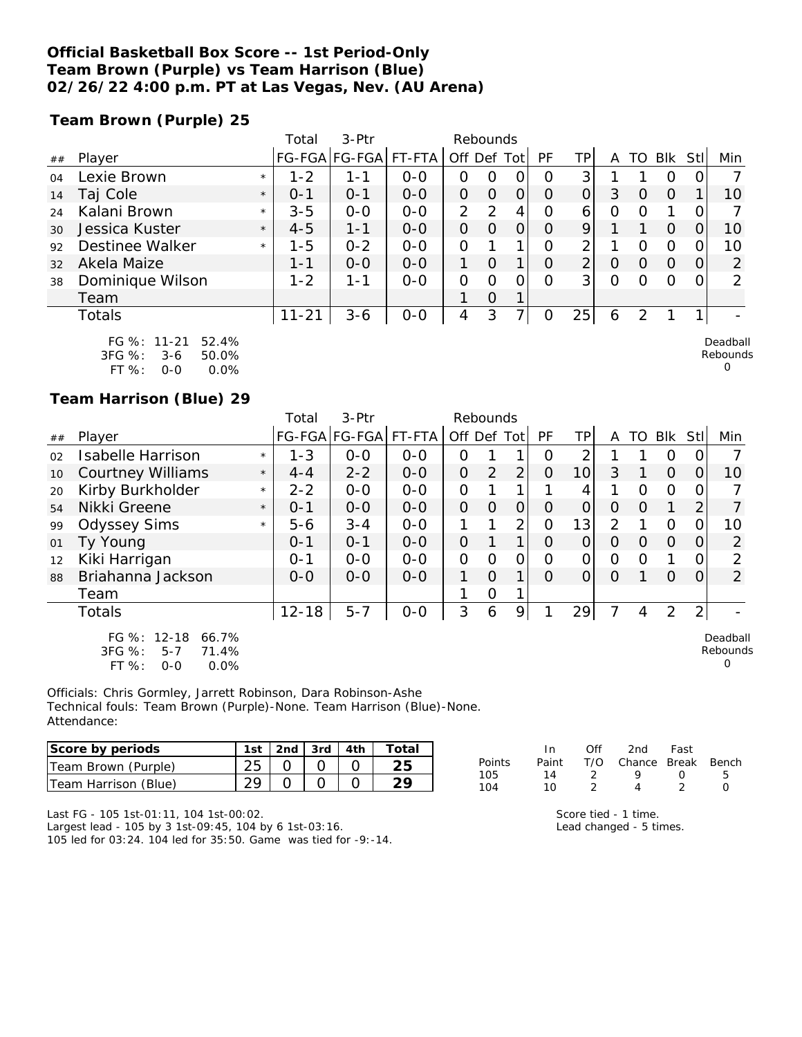### **Official Basketball Box Score -- 1st Period-Only Team Brown (Purple) vs Team Harrison (Blue) 02/26/22 4:00 p.m. PT at Las Vegas, Nev. (AU Arena)**

**Team Brown (Purple) 25**

|    |                      |         | Total     | 3-Ptr         |         | Rebounds       |          |                |          |                |          |          |            |          |               |
|----|----------------------|---------|-----------|---------------|---------|----------------|----------|----------------|----------|----------------|----------|----------|------------|----------|---------------|
| ## | Player               |         |           | FG-FGA FG-FGA | FT-FTA  | Off Def Tot    |          |                | PF       | ΤP             | А        | TO       | <b>Blk</b> | Stll     | Min           |
| 04 | Lexie Brown          | $\star$ | $1 - 2$   | 1-1           | $0-0$   | O              | O        |                | O        | 3              |          |          |            |          |               |
| 14 | Taj Cole             | $\star$ | $0 - 1$   | $O - 1$       | $0 - 0$ | $\Omega$       | $\Omega$ | $\Omega$       | $\Omega$ | $\Omega$       | 3        | O        | $\Omega$   |          | 10            |
| 24 | Kalani Brown         | $\star$ | $3 - 5$   | $0 - 0$       | $0 - 0$ | $\overline{2}$ | 2        | 4              | $\Omega$ | 6              | $\Omega$ |          |            |          |               |
| 30 | Jessica Kuster       | $\star$ | $4 - 5$   | $1 - 1$       | $0 - 0$ | $\Omega$       | $\Omega$ | $\overline{O}$ | $\Omega$ | 9              |          |          | $\circ$    |          | 10            |
| 92 | Destinee Walker      | $\star$ | $1 - 5$   | $0 - 2$       | $0 - 0$ | O              |          |                | O        | 2              |          |          | $\Omega$   |          | 10            |
| 32 | Akela Maize          |         | $1 - 1$   | $0 - 0$       | $0 - 0$ |                | $\Omega$ | 1              | $\Omega$ | $\overline{2}$ | O        | $\Omega$ | $\Omega$   | $\Omega$ | 2             |
| 38 | Dominique Wilson     |         | $1 - 2$   | $1 - 1$       | $0 - 0$ | O              | O        | 0              | $\Omega$ | 3              | $\Omega$ |          | ∩          |          | $\mathcal{P}$ |
|    | Team                 |         |           |               |         |                | $\Omega$ | 1              |          |                |          |          |            |          |               |
|    | Totals               |         | $11 - 21$ | $3 - 6$       | $0-0$   | 4              | 3        |                |          | 25             | 6        | っ        |            |          |               |
|    | FG %: 11-21<br>52.4% |         |           |               |         |                |          |                |          |                |          |          |            |          | Deadball      |

| F 1370.    |     | $11 - 21$ $32.470$ |
|------------|-----|--------------------|
| $3FG \%$ : | 3-6 | 50.0%              |
| FT %:      | റ-റ | $0.0\%$            |

**Team Harrison (Blue) 29**

|    |                                                                                |         | Total     | 3-Ptr         |         | Rebounds       |                |                |          |                |                |          |          |                |                           |
|----|--------------------------------------------------------------------------------|---------|-----------|---------------|---------|----------------|----------------|----------------|----------|----------------|----------------|----------|----------|----------------|---------------------------|
| ## | Player                                                                         |         |           | FG-FGA FG-FGA | FT-FTA  | Off Def Tot    |                |                | PF       | TPI            | A              | TO       | Blk      | Stll           | Min                       |
| 02 | Isabelle Harrison                                                              | $\star$ | $1 - 3$   | $0 - 0$       | $0 - 0$ | O              |                |                | O        | 2              |                |          | O        | $\Omega$       |                           |
| 10 | <b>Courtney Williams</b>                                                       | $\star$ | $4 - 4$   | $2 - 2$       | $O - O$ | $\overline{O}$ | $\overline{2}$ | $\overline{2}$ | $\Omega$ | 10             | 3              |          | $\Omega$ | 0              | 10                        |
| 20 | Kirby Burkholder                                                               | $\star$ | $2 - 2$   | $0 - 0$       | $0-0$   | 0              |                |                |          | 4              |                | O        | $\circ$  | 0              |                           |
| 54 | Nikki Greene                                                                   | $\star$ | $O - 1$   | $0-0$         | $O - O$ | $\overline{O}$ | $\Omega$       | $\overline{O}$ | $\Omega$ | $\overline{O}$ | $\Omega$       | $\Omega$ |          | 2              |                           |
| 99 | <b>Odyssey Sims</b>                                                            | $\star$ | $5 - 6$   | $3 - 4$       | $O-O$   |                |                | $\overline{2}$ | O        | 13             | $\overline{2}$ |          | $\Omega$ | 0              | 10                        |
| 01 | Ty Young                                                                       |         | $0 - 1$   | $0 - 1$       | $0 - 0$ | $\overline{O}$ |                | 1              | $\Omega$ | 0              | $\Omega$       | $\Omega$ | $\Omega$ | $\Omega$       | 2                         |
| 12 | Kiki Harrigan                                                                  |         | $0 - 1$   | $0-0$         | $0 - 0$ | 0              | 0              | O              | $\Omega$ | $\overline{O}$ | 0              | O        |          | 0              | 2                         |
| 88 | Briahanna Jackson                                                              |         | $0 - 0$   | $0 - 0$       | $O - O$ | 1              | $\Omega$       | 1.             | $\Omega$ | $\Omega$       | $\Omega$       |          | $\Omega$ | 0              | $\overline{2}$            |
|    | Team                                                                           |         |           |               |         |                | $\mathcal{O}$  |                |          |                |                |          |          |                |                           |
|    | Totals                                                                         |         | $12 - 18$ | $5 - 7$       | $0-0$   | 3              | 6              | 9              |          | 29             |                | 4        | 2        | $\overline{2}$ |                           |
|    | FG %: 12-18<br>66.7%<br>3FG %:<br>71.4%<br>$5 - 7$<br>FT %:<br>0.0%<br>$0 - 0$ |         |           |               |         |                |                |                |          |                |                |          |          |                | Deadball<br>Rebounds<br>O |

Officials: Chris Gormley, Jarrett Robinson, Dara Robinson-Ashe Technical fouls: Team Brown (Purple)-None. Team Harrison (Blue)-None. Attendance:

| lScore by periods    | 1st | 2nd $\sqrt{3}$ 3rd | Total |
|----------------------|-----|--------------------|-------|
| Team Brown (Purple)  |     |                    |       |
| Team Harrison (Blue) |     |                    |       |

| In.   | Off | 2nd | Fast             |                        |
|-------|-----|-----|------------------|------------------------|
| Paint |     |     |                  |                        |
| 14    |     | Q   | $\left( \right)$ | Б.                     |
| 10    |     |     |                  |                        |
|       |     |     |                  | T/O Chance Break Bench |

Rebounds 0

Last FG - 105 1st-01:11, 104 1st-00:02.

Largest lead - 105 by 3 1st-09:45, 104 by 6 1st-03:16. 105 led for 03:24. 104 led for 35:50. Game was tied for -9:-14.

| Score tied - 1 time.    |  |
|-------------------------|--|
| Lead changed - 5 times. |  |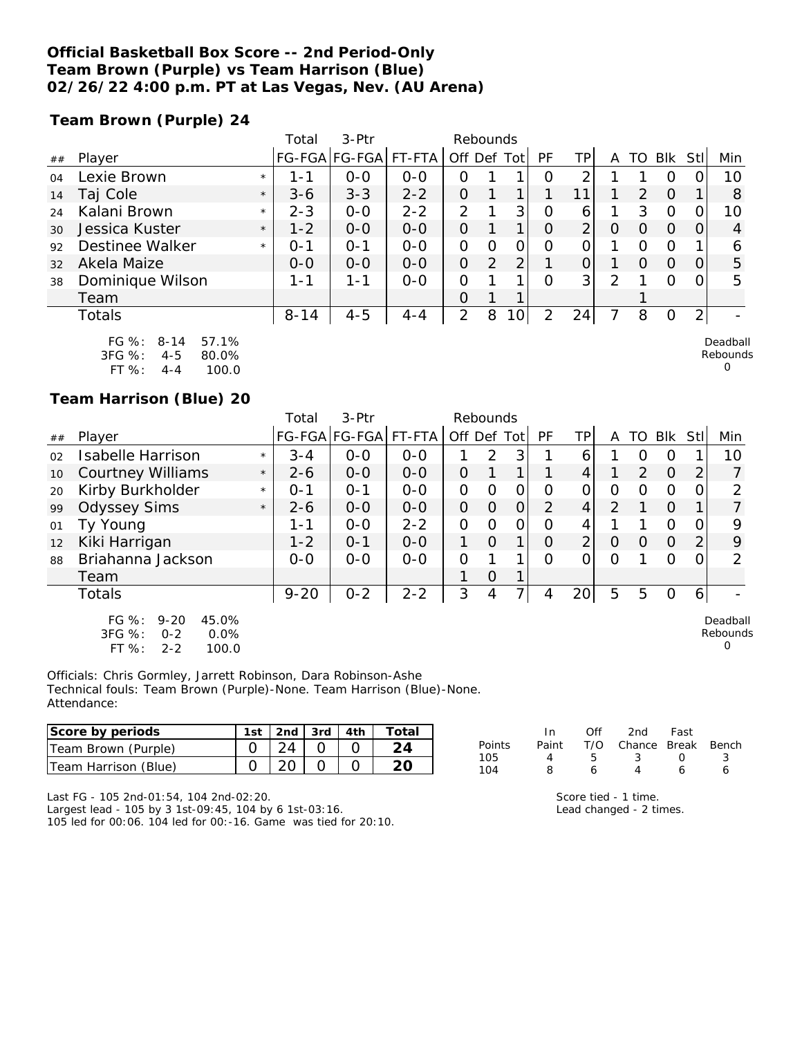### **Official Basketball Box Score -- 2nd Period-Only Team Brown (Purple) vs Team Harrison (Blue) 02/26/22 4:00 p.m. PT at Las Vegas, Nev. (AU Arena)**

**Team Brown (Purple) 24**

|    |                                  | Total    | $3-Ptr$              |         | Rebounds       |     |                 |          |                |   |    |                  |                |         |
|----|----------------------------------|----------|----------------------|---------|----------------|-----|-----------------|----------|----------------|---|----|------------------|----------------|---------|
| ## | Player                           |          | FG-FGA FG-FGA FT-FTA |         | Off            | Def | ⊺ Tot           | PF       | TP.            | A | TO | Blk              | Stll           | Min     |
| 04 | Lexie Brown<br>$\star$           | l - 1    | $O - O$              | $0-0$   | 0              |     |                 | Ω        | ⌒              |   |    | $\left( \right)$ |                | 10      |
| 14 | Taj Cole<br>$\star$              | $3 - 6$  | $3 - 3$              | $2 - 2$ | 0              |     |                 |          | 11             |   | 2  | O                |                | 8       |
| 24 | Kalani Brown<br>$\star$          | $2 - 3$  | $O-O$                | $2 - 2$ | 2              |     | 3               | 0        | 6              |   | 3  | O                | Ω              | 10      |
| 30 | Jessica Kuster<br>$\star$        | $1 - 2$  | $0 - 0$              | $0 - 0$ | $\Omega$       |     | 1               | $\Omega$ | 2              | O | O  | O                | $\Omega$       | 4       |
| 92 | Destinee Walker<br>$\star$       | $O - 1$  | $0 - 1$              | $0-0$   | O              | 0   |                 | O        | Ω              |   | Ω  | O                | 1              | 6       |
| 32 | Akela Maize                      | $0 - 0$  | $0 - 0$              | $0 - 0$ | 0              | 2   | $\overline{2}$  | 1        | $\Omega$       |   | Ω  | $\Omega$         | 0              | 5       |
| 38 | Dominique Wilson                 | 1 - 1    | $1 - 1$              | $0 - 0$ | 0              | 1   | ◄               | $\Omega$ | 3 <sup>1</sup> | 2 |    | ი                | O              | 5       |
|    | Team                             |          |                      |         | $\overline{O}$ |     | 1               |          |                |   |    |                  |                |         |
|    | Totals                           | $8 - 14$ | $4 - 5$              | $4 - 4$ | $\overline{2}$ | 8   | 10 <sub>1</sub> | 2        | 24             |   | 8  | Ο                | $\overline{2}$ |         |
|    | $FC_0$ $\&$ $R_1$ 1 $\&$<br>571% |          |                      |         |                |     |                 |          |                |   |    |                  |                | Doadhal |

| FG %:  | 8-14    | 57.1% |
|--------|---------|-------|
| 3FG %: | 4-5     | 80.0% |
| FT%    | $4 - 4$ | 100.0 |

### **Team Harrison (Blue) 20**

|    |                                                                                          |         | Total    | 3-Ptr         |         | Rebounds       |          |                |    |                 |               |    |          |                |                           |
|----|------------------------------------------------------------------------------------------|---------|----------|---------------|---------|----------------|----------|----------------|----|-----------------|---------------|----|----------|----------------|---------------------------|
| ## | Player                                                                                   |         |          | FG-FGA FG-FGA | FT-FTA  | Off Def Tot    |          |                | PF | ΤP              | A             | TO | Blk      | Stll           | Min                       |
| 02 | <b>Isabelle Harrison</b>                                                                 | $\star$ | $3 - 4$  | $0-0$         | $0-0$   |                | 2        | 3              |    | 6               |               | O  | O        |                | 10                        |
| 10 | <b>Courtney Williams</b>                                                                 | $\star$ | $2 - 6$  | $0-0$         | $O - O$ | $\Omega$       |          | 1              |    | 4               |               | 2  | $\Omega$ | $\overline{2}$ |                           |
| 20 | Kirby Burkholder                                                                         | $\star$ | $O - 1$  | $O - 1$       | $0 - 0$ | $\mathbf{O}$   | $\Omega$ | 0              | O  | 0               | O             | Ω  | O        | O.             | $\mathcal{P}$             |
| 99 | <b>Odyssey Sims</b>                                                                      | $\star$ | $2 - 6$  | $0 - 0$       | $0 - 0$ | $\overline{O}$ | $\Omega$ | $\overline{O}$ | 2  | 4               | $\mathcal{P}$ |    | $\Omega$ |                | 7                         |
| 01 | Ty Young                                                                                 |         | 1-1      | $O-O$         | $2 - 2$ | $\mathcal{O}$  | O        | $\mathcal{O}$  | Ω  | 4               |               |    | 0        | 0              | 9                         |
| 12 | Kiki Harrigan                                                                            |         | $1 - 2$  | $0 - 1$       | $0 - 0$ | 1              | $\Omega$ | $\mathbf 1$    | 0  | $\overline{2}$  | $\Omega$      | O  | $\Omega$ | 2              | 9                         |
| 88 | Briahanna Jackson                                                                        |         | $0-0$    | $O-O$         | $0-0$   | $\overline{O}$ |          | 1              | O  | 0               | O             |    | Ω        | 0              | ∍                         |
|    | Team                                                                                     |         |          |               |         |                | O        | 1              |    |                 |               |    |          |                |                           |
|    | <b>Totals</b>                                                                            |         | $9 - 20$ | $0 - 2$       | $2 - 2$ | 3              | 4        | 7 <sub>1</sub> | 4  | 20 <sub>l</sub> | 5             | 5  | O        | $6 \mid$       |                           |
|    | $FG \%$ :<br>$9 - 20$<br>45.0%<br>3FG %:<br>0.0%<br>$0 - 2$<br>FT %:<br>$2 - 2$<br>100.0 |         |          |               |         |                |          |                |    |                 |               |    |          |                | Deadball<br>Rebounds<br>O |

Officials: Chris Gormley, Jarrett Robinson, Dara Robinson-Ashe Technical fouls: Team Brown (Purple)-None. Team Harrison (Blue)-None. Attendance:

| Score by periods     | 1st | 2nd          | 3rd | 4th | Total |            | In    | Of' | 2nd    | Fast         |       |
|----------------------|-----|--------------|-----|-----|-------|------------|-------|-----|--------|--------------|-------|
| Team Brown (Purple)  |     |              |     |     |       | Points     | Paint | T/C | Chance | <b>Break</b> | Bench |
| Team Harrison (Blue) |     | $\cap$<br>∠⊾ |     |     | ററ    | 105<br>104 |       |     |        |              |       |

Last FG - 105 2nd-01:54, 104 2nd-02:20. Largest lead - 105 by 3 1st-09:45, 104 by 6 1st-03:16.

105 led for 00:06. 104 led for 00:-16. Game was tied for 20:10.

|    | $\mathbf{H}$ |   | UIL ZNO FASL                 |                  |     |
|----|--------------|---|------------------------------|------------------|-----|
| ts |              |   | Paint T/O Chance Break Bench |                  |     |
|    |              | h | - 3                          | $\left( \right)$ | - 3 |
|    |              | А |                              | 6                | Һ   |
|    |              |   |                              |                  |     |

Score tied - 1 time. Lead changed - 2 times.

Deadball Rebounds

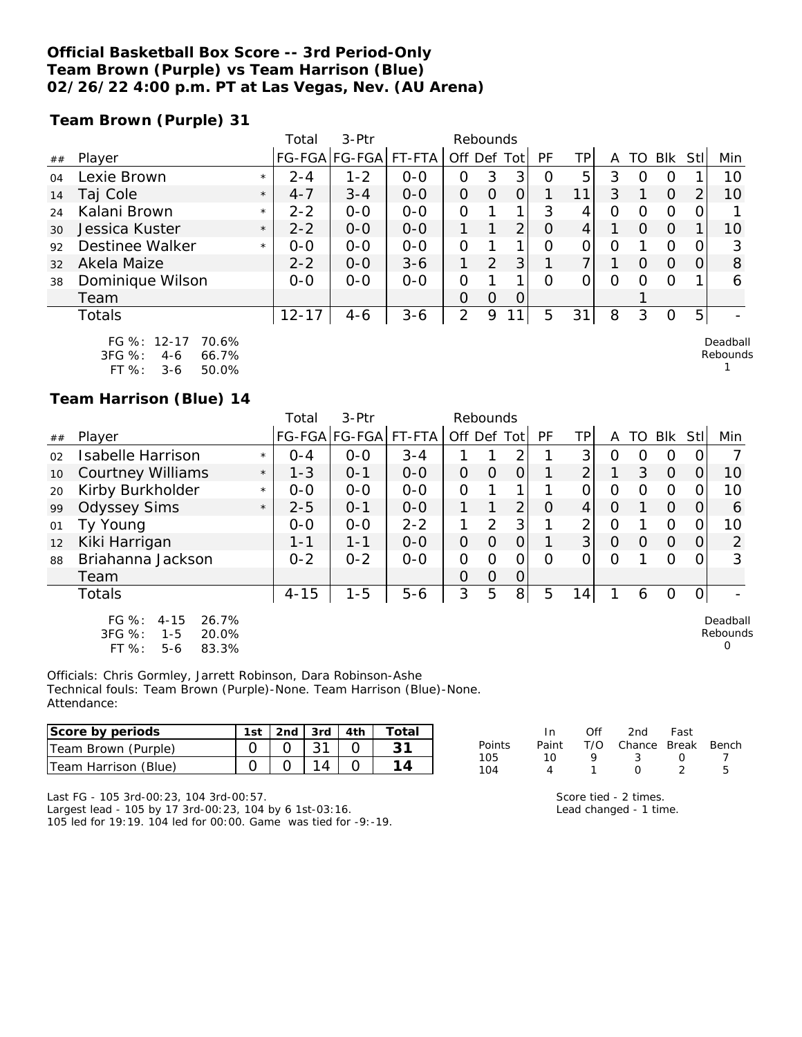### **Official Basketball Box Score -- 3rd Period-Only Team Brown (Purple) vs Team Harrison (Blue) 02/26/22 4:00 p.m. PT at Las Vegas, Nev. (AU Arena)**

**Team Brown (Purple) 31**

|    |                      |         | Total     | $3-Ptr$       |         | Rebounds    |               |                |          |    |         |          |            |      |          |
|----|----------------------|---------|-----------|---------------|---------|-------------|---------------|----------------|----------|----|---------|----------|------------|------|----------|
| ## | Player               |         |           | FG-FGA FG-FGA | FT-FTA  | Off Def Tot |               |                | PF       | ТP |         | TO       | <b>BIK</b> | Stli | Min      |
| 04 | Lexie Brown          | $\star$ | $2 - 4$   | $1 - 2$       | $0 - 0$ | 0           | 3             | 3              | O        | 5  | 3       |          | O          |      | 10       |
| 14 | Taj Cole             | $\star$ | $4 - 7$   | $3 - 4$       | $0 - 0$ | 0           | $\Omega$      | $\overline{O}$ |          | 11 | 3       |          | $\Omega$   | 2    | 10       |
| 24 | Kalani Brown         | $\star$ | $2 - 2$   | $0 - 0$       | $O - O$ | O           |               |                | 3        | 4  | 0       | O        | O          |      |          |
| 30 | Jessica Kuster       | $\star$ | $2 - 2$   | $0 - 0$       | $0 - 0$ |             |               | 2              | $\Omega$ | 4  |         | $\Omega$ | $\Omega$   |      | 10       |
| 92 | Destinee Walker      | $\star$ | $0 - 0$   | $0 - 0$       | $O - O$ | O           |               |                | $\Omega$ | 0  | O       |          | O          |      | 3        |
| 32 | Akela Maize          |         | $2 - 2$   | $0 - 0$       | $3 - 6$ | 1           | $\mathcal{P}$ | 3              |          | 7  |         | $\Omega$ | $\Omega$   | 0    | 8        |
| 38 | Dominique Wilson     |         | $0 - 0$   | $0 - 0$       | $O-O$   | O           |               |                | $\Omega$ | Ο  | $\circ$ | O        | $\Omega$   |      | 6        |
|    | Team                 |         |           |               |         | O           | $\Omega$      | $\Omega$       |          |    |         |          |            |      |          |
|    | Totals               |         | $12 - 17$ | $4 - 6$       | $3 - 6$ | 2           | 9             |                | 5        | 31 | 8       | 3        | 0          | 5    |          |
|    | FG %: 12-17<br>70.6% |         |           |               |         |             |               |                |          |    |         |          |            |      | Deadball |

| FG %: 12-17 |     | 70.6% |
|-------------|-----|-------|
| $3FG \%$    | 4-6 | 66.7% |
| FT%         | 3-6 | 50.0% |

# **Team Harrison (Blue) 14**

|    |                                                                                         |         | Total    | $3-Ptr$       |         | Rebounds       |                |                |           |                |          |          |          |                |                           |
|----|-----------------------------------------------------------------------------------------|---------|----------|---------------|---------|----------------|----------------|----------------|-----------|----------------|----------|----------|----------|----------------|---------------------------|
| ## | Player                                                                                  |         |          | FG-FGA FG-FGA | FT-FTA  | Off Def Tot    |                |                | <b>PF</b> | TP             | A        | TO.      | Blk      | Stll           | Min                       |
| 02 | Isabelle Harrison                                                                       | $\star$ | $0 - 4$  | $0 - 0$       | $3 - 4$ |                |                | 2              |           | 3              | Ο        | O        | 0        |                |                           |
| 10 | <b>Courtney Williams</b>                                                                | $\star$ | $1 - 3$  | $0 - 1$       | $0 - 0$ | $\Omega$       | $\Omega$       | $\overline{O}$ |           | C              |          | 3        | $\Omega$ | 0              | 10                        |
| 20 | Kirby Burkholder                                                                        | $\star$ | $0 - 0$  | $0 - 0$       | $0 - 0$ | $\mathcal{O}$  |                |                |           | 0              | O        | Ω        | O        | $\Omega$       | 10                        |
| 99 | <b>Odyssey Sims</b>                                                                     | $\star$ | $2 - 5$  | $0 - 1$       | $0 - 0$ |                |                | $\overline{2}$ | $\Omega$  | 4              | O        |          | $\Omega$ | O              | 6                         |
| 01 | Ty Young                                                                                |         | $0-0$    | $O-O$         | $2 - 2$ |                | 2              | 3              |           | $\overline{2}$ | O        |          | $\circ$  | 0              | 10                        |
| 12 | Kiki Harrigan                                                                           |         | $1 - 1$  | $1 - 1$       | $0 - 0$ | $\overline{O}$ | $\Omega$       | $\overline{O}$ |           | 3 <sup>1</sup> | $\Omega$ | $\Omega$ | $\Omega$ | $\Omega$       | 2                         |
| 88 | Briahanna Jackson                                                                       |         | $0 - 2$  | $0 - 2$       | $O-O$   | 0              | 0              | $\overline{O}$ | O         | 0              | O        |          | Ω        |                | 3                         |
|    | Team                                                                                    |         |          |               |         | $\Omega$       | $\overline{O}$ | 0              |           |                |          |          |          |                |                           |
|    | <b>Totals</b>                                                                           |         | $4 - 15$ | $1 - 5$       | $5 - 6$ | 3              | 5              | 8 <sub>l</sub> | 5         | 14             |          | 6        | O        | $\overline{O}$ |                           |
|    | $FG \%$ :<br>26.7%<br>$4 - 15$<br>3FG %:<br>$1 - 5$<br>20.0%<br>FT %:<br>83.3%<br>$5-6$ |         |          |               |         |                |                |                |           |                |          |          |          |                | Deadball<br>Rebounds<br>O |

Officials: Chris Gormley, Jarrett Robinson, Dara Robinson-Ashe Technical fouls: Team Brown (Purple)-None. Team Harrison (Blue)-None. Attendance:

| Score by periods     | 1st | 2nd | 3rd | 4th | ⊤otal |            |       | Of | 2nd    | Fast  |       |
|----------------------|-----|-----|-----|-----|-------|------------|-------|----|--------|-------|-------|
| Team Brown (Purple)  |     |     |     |     |       | Points     | Paint |    | Chance | Break | Bench |
| Team Harrison (Blue) |     |     |     |     |       | 105<br>104 |       |    |        |       |       |

Last FG - 105 3rd-00:23, 104 3rd-00:57.

Largest lead - 105 by 17 3rd-00:23, 104 by 6 1st-03:16. 105 led for 19:19. 104 led for 00:00. Game was tied for -9:-19.

|    | Paint T/O Chance Break Ben |                  |   |
|----|----------------------------|------------------|---|
| 10 |                            | $\left( \right)$ |   |
|    | ∩                          |                  | 5 |
|    |                            |                  |   |

Rebounds 1

Score tied - 2 times. Lead changed - 1 time.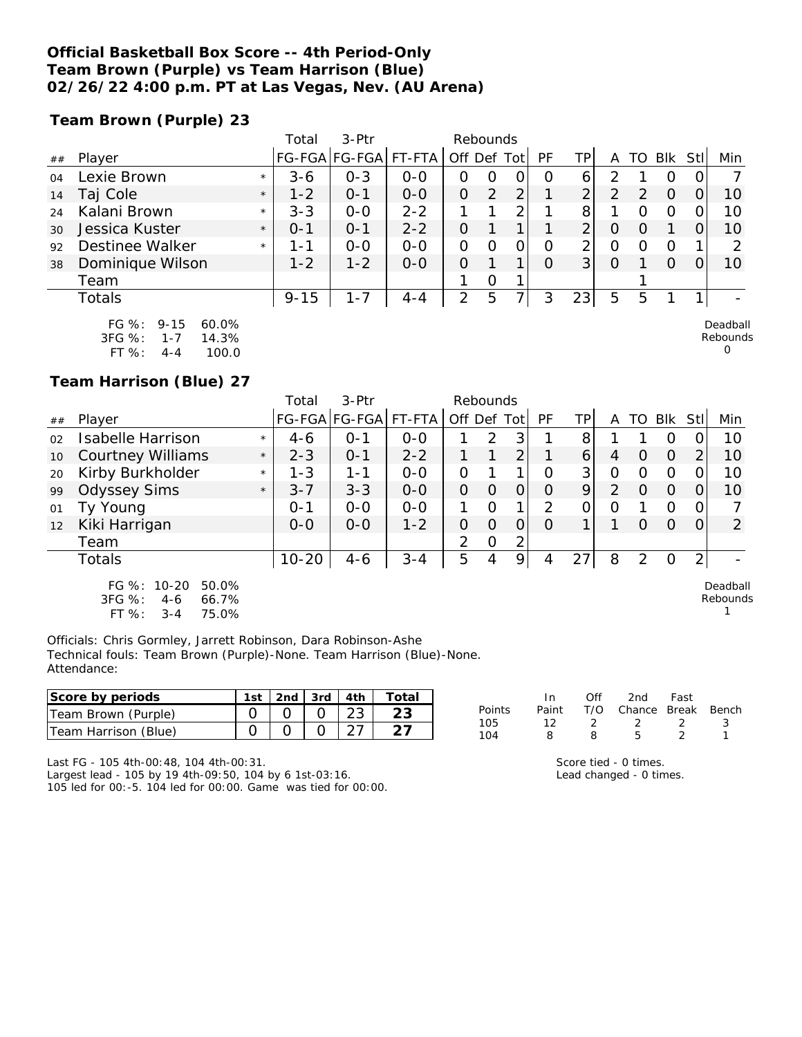### **Official Basketball Box Score -- 4th Period-Only Team Brown (Purple) vs Team Harrison (Blue) 02/26/22 4:00 p.m. PT at Las Vegas, Nev. (AU Arena)**

**Team Brown (Purple) 23**

|    |                                                              |         | Total    | 3-Ptr         |         | Rebounds    |   |   |    |                |                |    |            |     |                      |
|----|--------------------------------------------------------------|---------|----------|---------------|---------|-------------|---|---|----|----------------|----------------|----|------------|-----|----------------------|
| ## | Player                                                       |         |          | FG-FGA FG-FGA | FT-FTA  | Off Def Tot |   |   | PF | ΤP             |                | TO | <b>BIK</b> | Stl | Min                  |
| 04 | Lexie Brown                                                  | $\star$ | $3 - 6$  | $0 - 3$       | $0 - 0$ | O           | O | 0 | O  | 6              |                |    | Ο          |     |                      |
| 14 | Taj Cole                                                     | $\star$ | $1 - 2$  | $O - 1$       | $0-0$   | 0           | 2 | 2 |    | ⌒              | $\overline{2}$ | 2  | $\Omega$   |     | 10                   |
| 24 | Kalani Brown                                                 | $\star$ | $3 - 3$  | $0 - 0$       | $2 - 2$ |             |   | 2 |    | 8              |                | 0  | 0          |     | 10                   |
| 30 | Jessica Kuster                                               | $\star$ | $0 - 1$  | $O - 1$       | $2 - 2$ | 0           |   |   |    | $\overline{2}$ | O              | Ο  |            |     | 10                   |
| 92 | <b>Destinee Walker</b>                                       | $\star$ | 1 - 1    | $O-O$         | $0-0$   | 0           | O | 0 | O  | 2              | Ο              | ∩  | O          |     | っ                    |
| 38 | Dominique Wilson                                             |         | $1 - 2$  | $1 - 2$       | $0 - 0$ | O           |   | 1 | Ω  | 3 <sup>1</sup> | 0              |    | Ω          |     | 10                   |
|    | Team                                                         |         |          |               |         |             | 0 | 1 |    |                |                |    |            |     |                      |
|    | Totals                                                       |         | $9 - 15$ | $1 - 7$       | $4 - 4$ | 2           | 5 | 7 | 3  | 23             | 5              | 5  |            |     |                      |
|    | FG $\%$ :<br>$9 - 15$<br>60.0%<br>3FG %:<br>$1 - 7$<br>14.3% |         |          |               |         |             |   |   |    |                |                |    |            |     | Deadball<br>Rebounds |

 $\Omega$ 

**Team Harrison (Blue) 27**

FT %: 4-4 100.0

|    |                                                                               |         | Total     | 3-Ptr         |         | Rebounds       |          |                |          |                 |          |          |          |                |                      |
|----|-------------------------------------------------------------------------------|---------|-----------|---------------|---------|----------------|----------|----------------|----------|-----------------|----------|----------|----------|----------------|----------------------|
| ## | Player                                                                        |         |           | FG-FGA FG-FGA | FT-FTA  | Off Def Tot    |          |                | PF       | TP              | A        | TO       | Blk      | Stl            | Min                  |
| 02 | Isabelle Harrison                                                             | $\star$ | $4 - 6$   | $0 - 1$       | $0-0$   |                | 2        | 3              |          | 8               |          |          | O        |                | 10                   |
| 10 | <b>Courtney Williams</b>                                                      | $\star$ | $2 - 3$   | $O - 1$       | $2 - 2$ |                |          | $\overline{2}$ |          | $\vert 6 \vert$ | 4        | $\Omega$ | $\Omega$ | 2              | 10                   |
| 20 | Kirby Burkholder                                                              | $\star$ | $1 - 3$   | $1 - 1$       | $0 - 0$ | 0              |          | 1              | $\Omega$ | 3 <sub>l</sub>  | 0        | ∩        | $\Omega$ |                | 10                   |
| 99 | <b>Odyssey Sims</b>                                                           | $\star$ | $3 - 7$   | $3 - 3$       | $0 - 0$ | $\overline{O}$ | $\Omega$ | $\overline{O}$ | $\Omega$ | $\overline{9}$  | 2        | $\Omega$ | $\Omega$ | $\overline{O}$ | 10                   |
| 01 | Ty Young                                                                      |         | $O - 1$   | $0-0$         | $0-0$   |                | $\Omega$ | 1              | 2        | 0               | $\Omega$ |          | $\circ$  |                |                      |
| 12 | Kiki Harrigan                                                                 |         | $0-0$     | $0-0$         | $1 - 2$ | 0              | $\Omega$ | 0              | $\Omega$ |                 |          | 0        | $\Omega$ | $\Omega$       | 2                    |
|    | Team                                                                          |         |           |               |         | 2              | $\Omega$ | 2              |          |                 |          |          |          |                |                      |
|    | Totals                                                                        |         | $10 - 20$ | $4 - 6$       | $3 - 4$ | 5              | 4        | 9              | 4        | 27              | 8        | 2        | $\Omega$ | $\overline{2}$ |                      |
|    | FG %: 10-20<br>50.0%<br>3FG %:<br>66.7%<br>$4-6$<br>FT %:<br>75.0%<br>$3 - 4$ |         |           |               |         |                |          |                |          |                 |          |          |          |                | Deadball<br>Rebounds |

Officials: Chris Gormley, Jarrett Robinson, Dara Robinson-Ashe Technical fouls: Team Brown (Purple)-None. Team Harrison (Blue)-None. Attendance:

| Score by periods     | 1st | 2nd $\sqrt{3}$ rd $\sqrt{4}$ th | Total |
|----------------------|-----|---------------------------------|-------|
| Team Brown (Purple)  |     |                                 |       |
| Team Harrison (Blue) |     |                                 |       |

Points Paint T/O Chance Break Bench<br>105 12 2 2 2 3 105 12 2 2 2 3 104 8 8 5 2 1

In Off 2nd Fast<br>Paint T/O Chance Break

Last FG - 105 4th-00:48, 104 4th-00:31.

 $FT \%: 3-4$ 

Largest lead - 105 by 19 4th-09:50, 104 by 6 1st-03:16. 105 led for 00:-5. 104 led for 00:00. Game was tied for 00:00. Score tied - 0 times. Lead changed - 0 times.